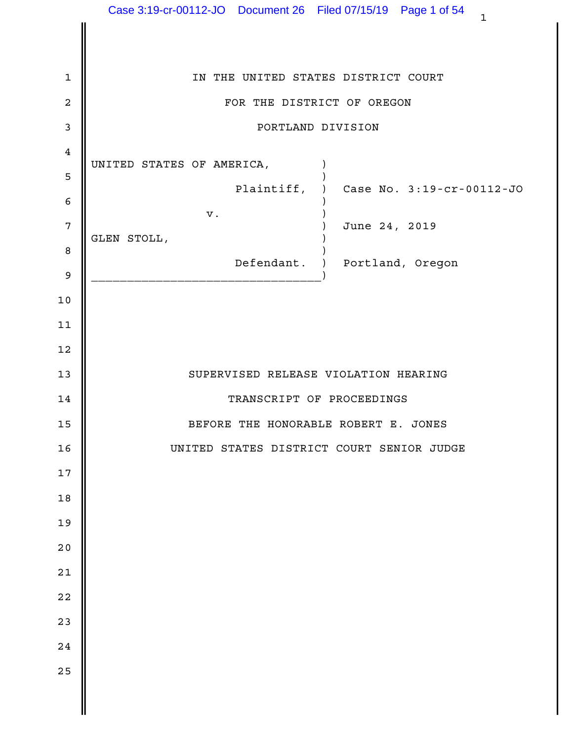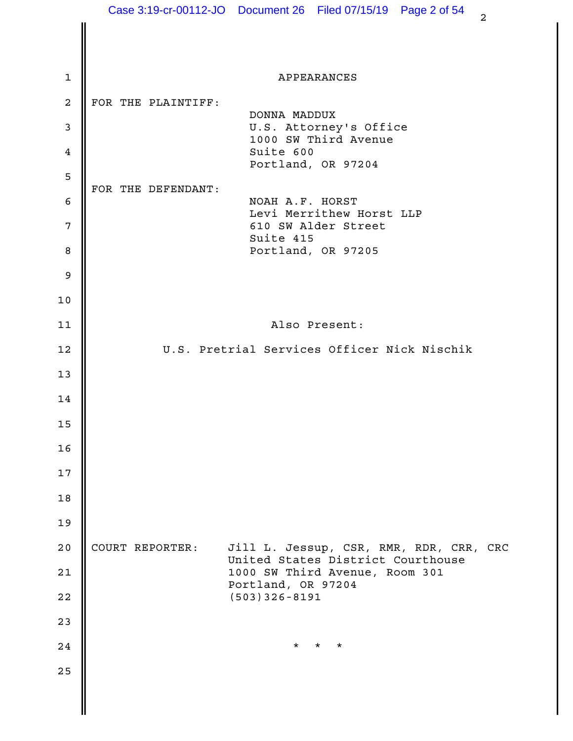|              |                    | Case 3:19-cr-00112-JO  Document 26  Filed 07/15/19  Page 2 of 54<br>$\overline{2}$ |  |
|--------------|--------------------|------------------------------------------------------------------------------------|--|
|              |                    |                                                                                    |  |
| $\mathbf{1}$ |                    | APPEARANCES                                                                        |  |
| 2            | FOR THE PLAINTIFF: |                                                                                    |  |
| 3            |                    | DONNA MADDUX<br>U.S. Attorney's Office                                             |  |
| 4            |                    | 1000 SW Third Avenue<br>Suite 600                                                  |  |
| 5            |                    | Portland, OR 97204                                                                 |  |
|              | FOR THE DEFENDANT: | NOAH A.F. HORST                                                                    |  |
| 6<br>7       |                    | Levi Merrithew Horst LLP<br>610 SW Alder Street                                    |  |
| 8            |                    | Suite 415<br>Portland, OR 97205                                                    |  |
| 9            |                    |                                                                                    |  |
| $10$         |                    |                                                                                    |  |
| 11           |                    | Also Present:                                                                      |  |
| 12           |                    | U.S. Pretrial Services Officer Nick Nischik                                        |  |
| 13           |                    |                                                                                    |  |
| 14           |                    |                                                                                    |  |
| 15           |                    |                                                                                    |  |
| 16           |                    |                                                                                    |  |
| 17           |                    |                                                                                    |  |
| 18           |                    |                                                                                    |  |
| 19           |                    |                                                                                    |  |
| 20           | COURT REPORTER:    | Jill L. Jessup, CSR, RMR, RDR, CRR, CRC                                            |  |
| 21           |                    | United States District Courthouse<br>1000 SW Third Avenue, Room 301                |  |
| 22           |                    | Portland, OR 97204<br>$(503)$ 326-8191                                             |  |
| 23           |                    |                                                                                    |  |
| 24           |                    | $\star$<br>$^\star$<br>$^\star$                                                    |  |
| 25           |                    |                                                                                    |  |
|              |                    |                                                                                    |  |
|              |                    |                                                                                    |  |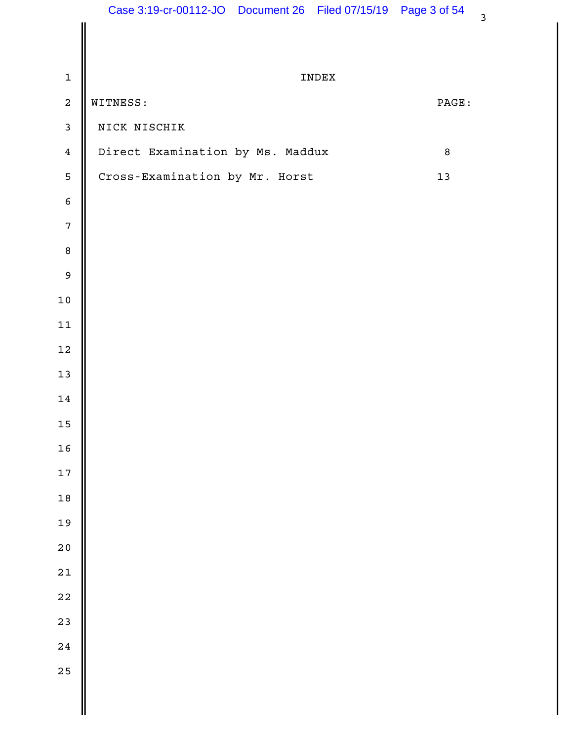| $\mathbf 1$      | INDEX                            |        |  |
|------------------|----------------------------------|--------|--|
| $\overline{a}$   | WITNESS:                         | PAGE:  |  |
| $\mathbf{3}$     | NICK NISCHIK                     |        |  |
| $\overline{4}$   | Direct Examination by Ms. Maddux | $\, 8$ |  |
| 5                | Cross-Examination by Mr. Horst   | $13$   |  |
| $\epsilon$       |                                  |        |  |
| $\overline{7}$   |                                  |        |  |
| $\boldsymbol{8}$ |                                  |        |  |
| $\overline{9}$   |                                  |        |  |
| $10$             |                                  |        |  |
| $11\,$           |                                  |        |  |
| $12\,$           |                                  |        |  |
| 13               |                                  |        |  |
| $14\,$           |                                  |        |  |
| $15\,$           |                                  |        |  |
| $16$             |                                  |        |  |
| $17\,$           |                                  |        |  |
| $18$             |                                  |        |  |
| 19               |                                  |        |  |
| 20               |                                  |        |  |
| $21$             |                                  |        |  |
| $22$             |                                  |        |  |
| 23               |                                  |        |  |
| 24               |                                  |        |  |
| 25               |                                  |        |  |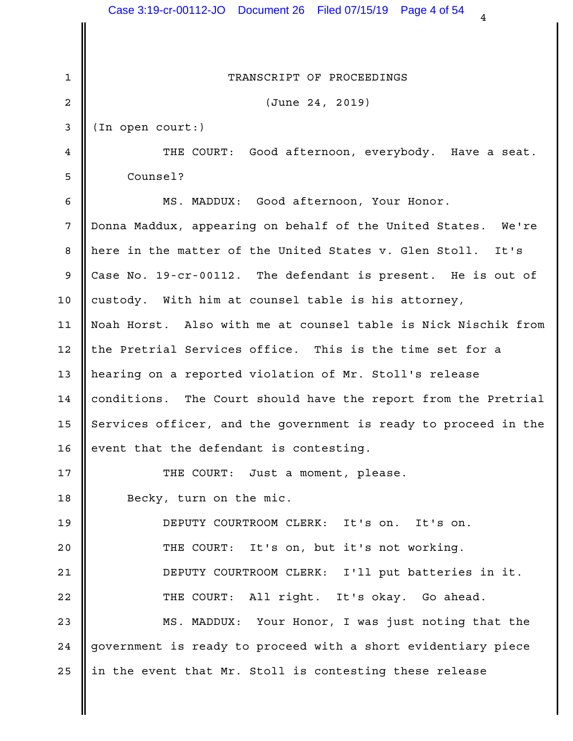|                 | Case 3:19-cr-00112-JO  Document 26  Filed 07/15/19  Page 4 of 54<br>4 |  |
|-----------------|-----------------------------------------------------------------------|--|
|                 |                                                                       |  |
| 1               | TRANSCRIPT OF PROCEEDINGS                                             |  |
| 2               | (June 24, 2019)                                                       |  |
| 3               | (In open court:)                                                      |  |
| 4               | THE COURT: Good afternoon, everybody. Have a seat.                    |  |
| 5               | Counsel?                                                              |  |
| 6               | MS. MADDUX: Good afternoon, Your Honor.                               |  |
| 7               | Donna Maddux, appearing on behalf of the United States. We're         |  |
| 8               | here in the matter of the United States v. Glen Stoll.<br>It's        |  |
| 9               | Case No. 19-cr-00112. The defendant is present. He is out of          |  |
| 10              | custody. With him at counsel table is his attorney,                   |  |
| 11              | Noah Horst. Also with me at counsel table is Nick Nischik from        |  |
| 12              | the Pretrial Services office. This is the time set for a              |  |
| 13              | hearing on a reported violation of Mr. Stoll's release                |  |
| 14              | conditions. The Court should have the report from the Pretrial        |  |
| 15 <sub>1</sub> | Services officer, and the government is ready to proceed in the       |  |
| 16              | event that the defendant is contesting.                               |  |
| 17              | THE COURT: Just a moment, please.                                     |  |
| 18              | Becky, turn on the mic.                                               |  |
| 19              | DEPUTY COURTROOM CLERK: It's on. It's on.                             |  |
| 20              | THE COURT: It's on, but it's not working.                             |  |
| 21              | DEPUTY COURTROOM CLERK: I'll put batteries in it.                     |  |
| 22              | THE COURT: All right. It's okay. Go ahead.                            |  |
| 23              | MS. MADDUX: Your Honor, I was just noting that the                    |  |
| 24              | government is ready to proceed with a short evidentiary piece         |  |
| 25              | in the event that Mr. Stoll is contesting these release               |  |
|                 |                                                                       |  |
|                 |                                                                       |  |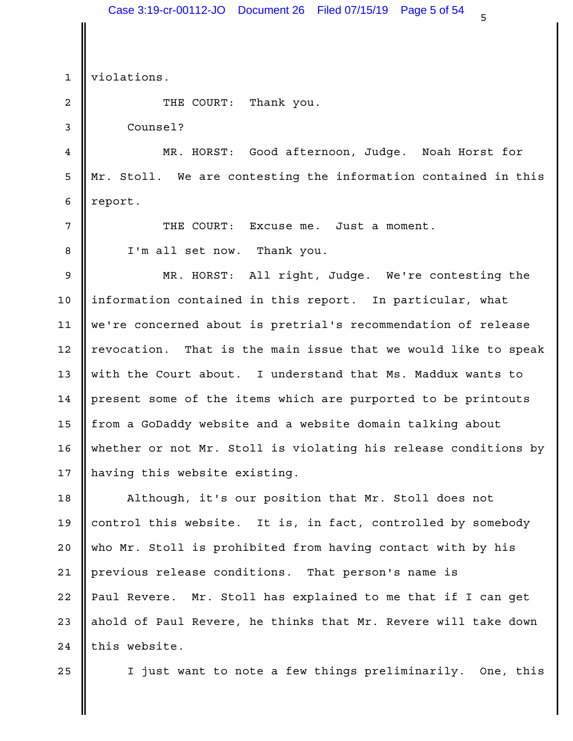$\frac{1}{5}$ 1 | violations. THE COURT: Thank you. 2 3 Counsel? 4 **||** MR. HORST: Good afternoon, Judge. Noah Horst for 5 || Mr. Stoll. We are contesting the information contained in this | 6 percent. Excuse me. Just a moment. 8 || I'm all set now. Thank you. 9 || MR. HORST: All right, Judge. We're contesting the | 10 || information contained in this report. In particular, what 11 || we're concerned about is pretrial's recommendation of release | That is the main issue that we would like to speak 13 || with the Court about. I understand that Ms. Maddux wants to 14 | present some of the items which are purported to be printouts | 15 || from a GoDaddy website and a website domain talking about whether or not Mr. Stoll is violating his release conditions by 16 17 || having this website existing. Although, it's our position that Mr. Stoll does not 18 19 || control this website. It is, in fact, controlled by somebody | 20 || who Mr. Stoll is prohibited from having contact with by his 21 || previous release conditions. That person's name is 22 || Paul Revere. Mr. Stoll has explained to me that if I can get | 23 || ahold of Paul Revere, he thinks that Mr. Revere will take down 24 || this website. 25  $\parallel$  I just want to note a few things preliminarily. One, this  $\parallel$ 7 **II** THE COURT: 12 | revocation. Case 3:19-cr-00112-JO Document 26 Filed 07/15/19 Page 5 of 54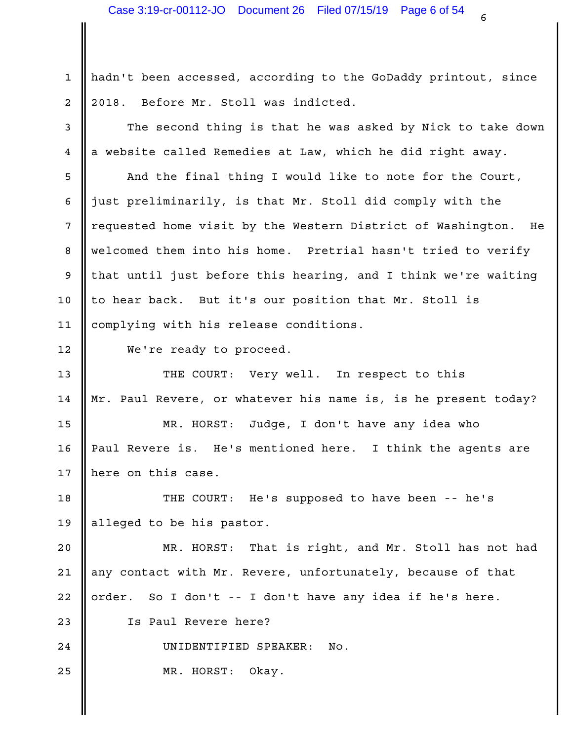1 || hadn't been accessed, according to the GoDaddy printout, since 2 || 2018. Before Mr. Stoll was indicted.

3 || The second thing is that he was asked by Nick to take down |  $4 \parallel a$  website called Remedies at Law, which he did right away.  $\parallel$ 

5 || And the final thing I would like to note for the Court, | 6 || just preliminarily, is that Mr. Stoll did comply with the  $\qquad \qquad \mid$ 7 || requested home visit by the Western District of Washington. He 8 || welcomed them into his home. Pretrial hasn't tried to verify | 9 || that until just before this hearing, and I think we're waiting | 10 || to hear back. But it's our position that Mr. Stoll is \_\_\_\_\_\_\_\_\_\_\_\_\_\_\_\_\_\_\_\_ 11 || complying with his release conditions.

12 We're ready to proceed.

THE COURT: Very well. In respect to this 13 Mr. Paul Revere, or whatever his name is, is he present today? 14

MR. HORST: Judge, I don't have any idea who 15 Paul Revere is. He's mentioned here. I think the agents are 16 17  $\parallel$  here on this case.

18 || THE COURT: He's supposed to have been -- he's | 19 || alleged to be his pastor.

That is right, and Mr. Stoll has not had 21 || any contact with Mr. Revere, unfortunately, because of that 22 || order. So I don't -- I don't have any idea if he's here. 23 || Is Paul Revere here? 20 | MR. HORST:

24 || UNIDENTIFIED SPEAKER: No.

25 MR. HORST: Okay.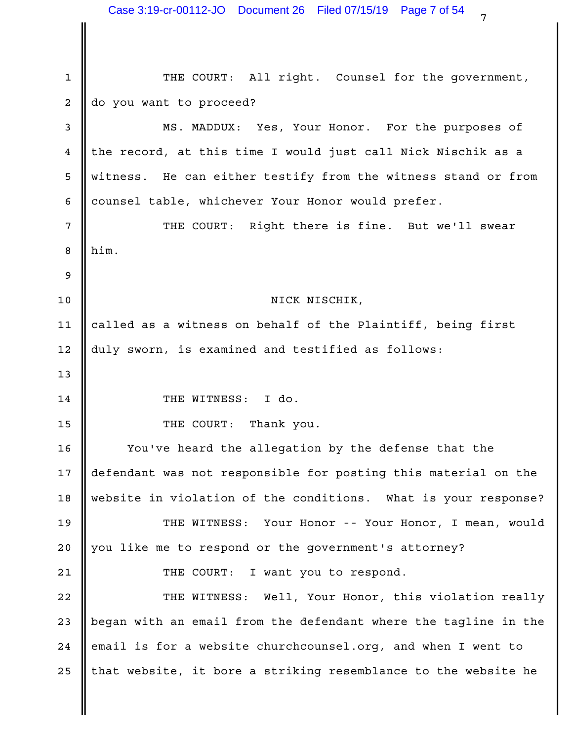1 || THE COURT: All right. Counsel for the government, 2 do you want to proceed? 3 **||** MS. MADDUX: Yes, Your Honor. For the purposes of  $4$  || the record, at this time I would just call Nick Nischik as a  $\qquad$  | 5 || witness. He can either testify from the witness stand or from | counsel table, whichever Your Honor would prefer. 6 7 || THE COURT: Right there is fine. But we'll swear | him. NICK NISCHIK, 11 || called as a witness on behalf of the Plaintiff, being first 12 || duly sworn, is examined and testified as follows: 14 CHE WITNESS: I do. 15 **II** THE COURT: Thank you. 16 || You've heard the allegation by the defense that the | 17 || defendant was not responsible for posting this material on the | 18 || website in violation of the conditions. What is your response? | 19 || THE WITNESS: Your Honor -- Your Honor, I mean, would | 20 || you like me to respond or the government's attorney? THE COURT: I want you to respond. 21 22 || THE WITNESS: Well, Your Honor, this violation really | 23 || began with an email from the defendant where the tagline in the | 24 |email is for a website churchcounsel.org, and when I went to 25  $\parallel$  that website, it bore a striking resemblance to the website he  $\parallel$  $8$   $\blacksquare$  him.  $9 \parallel$ 10  $13$   $\parallel$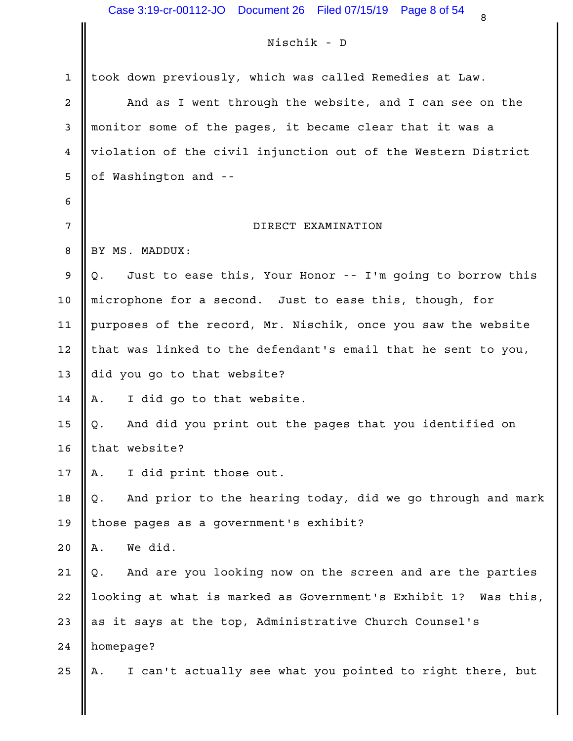### Nischik - D

|              | Nischik - D                                                      |  |
|--------------|------------------------------------------------------------------|--|
| $\mathbf{1}$ | took down previously, which was called Remedies at Law.          |  |
| 2            | And as I went through the website, and I can see on the          |  |
| 3            | monitor some of the pages, it became clear that it was a         |  |
| 4            | violation of the civil injunction out of the Western District    |  |
| 5            | of Washington and --                                             |  |
| 6            |                                                                  |  |
| 7            | DIRECT EXAMINATION                                               |  |
| 8            | BY MS. MADDUX:                                                   |  |
| 9            | Just to ease this, Your Honor -- I'm going to borrow this<br>Q.  |  |
| 10           | microphone for a second. Just to ease this, though, for          |  |
| 11           | purposes of the record, Mr. Nischik, once you saw the website    |  |
| 12           | that was linked to the defendant's email that he sent to you,    |  |
| 13           | did you go to that website?                                      |  |
| 14           | I did go to that website.<br>Α.                                  |  |
| 15           | And did you print out the pages that you identified on<br>Q.     |  |
| 16           | that website?                                                    |  |
| 17           | I did print those out.<br>Α.                                     |  |
| 18           | And prior to the hearing today, did we go through and mark<br>Q. |  |
| 19           | those pages as a government's exhibit?                           |  |
| 20           | We did.<br>Α.                                                    |  |
| 21           | And are you looking now on the screen and are the parties<br>Q.  |  |
| 22           | looking at what is marked as Government's Exhibit 1? Was this,   |  |
| 23           | as it says at the top, Administrative Church Counsel's           |  |
| 24           | homepage?                                                        |  |
| 25           | I can't actually see what you pointed to right there, but<br>Α.  |  |
|              |                                                                  |  |
|              |                                                                  |  |
|              |                                                                  |  |

 $\begin{array}{ccc} 8 & & & \end{array}$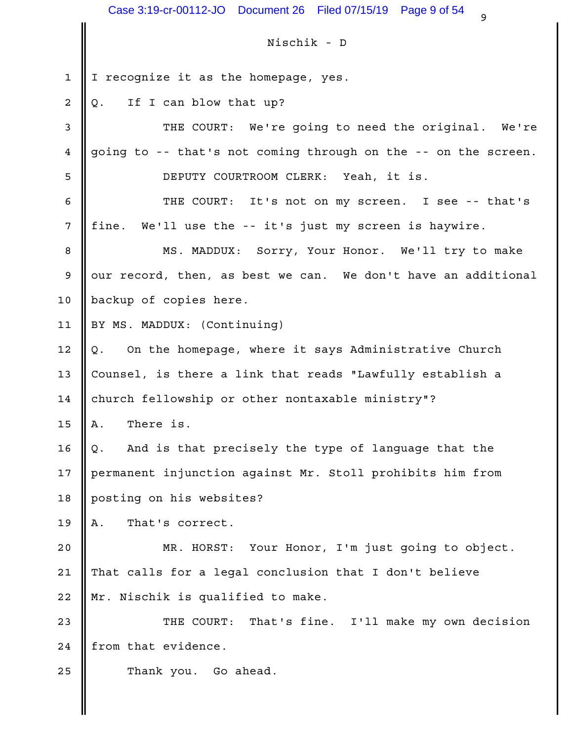$\frac{9}{9}$ Nischik - D 1 I recognize it as the homepage, yes. Case 3:19-cr-00112-JO Document 26 Filed 07/15/19 Page 9 of 54<br>Nischik - D<br>I recognize it as the homepage, yes.<br>Q. If I can blow that up?<br>THE COURT: We're going to need the origin<br>going to -- that's not coming through on th 3 || THE COURT: We're going to need the original. We're | 4 going to -- that's not coming through on the -- on the screen. DEPUTY COURTROOM CLERK: Yeah, it is. 5 6 || THE COURT: It's not on my screen. I see -- that's 7 || fine. We'll use the -- it's just my screen is haywire. 8 || MS. MADDUX: Sorry, Your Honor. We'll try to make |  $9$   $\,$  our record, then, as best we can. We don't have an additional  $\,$   $\,$ 10 || backup of copies here. 11 || BY MS. MADDUX: (Continuing) IME COURT: We're young to need the Original. We're<br>going to -- that's not coming through on the -- on the screen.<br>DEPUTY COURTROOM CLERK: Yeah, it is.<br>THE COURT: It's not on my screen. I see -- that's<br>fine. We'll use the -13 || Counsel, is there a link that reads "Lawfully establish a church fellowship or other nontaxable ministry"? 14 Ins Cooki: It's not on my screen. I<br>
fine. We'll use the -- it's just my screen is h<br>
MS. MADDUX: Sorry, Your Honor. We'll<br>
our record, then, as best we can. We don't have<br>
backup of copies here.<br>
BY MS. MADDUX: (Continuin Inne. We'll use the -- It's just my screen is naywrie.<br>
MS. MADDUX: Sorry, Your Honor. We'll try to make<br>
our record, then, as best we can. We don't have an additional<br>
backup of copies here.<br>
BY MS. MADDUX: (Continuing)<br> 17 || permanent injunction against Mr. Stoll prohibits him from posting on his websites? 18 BY MS. MADDUX: (Continuing)<br>
Q. On the homepage, where it says Administrati<br>
Counsel, is there a link that reads "Lawfully es<br>
church fellowship or other nontaxable ministry"?<br>
A. There is.<br>
Q. And is that precisely the ty 20  $\parallel$  MR. HORST: Your Honor, I'm just going to object. 21 || That calls for a legal conclusion that I don't believe 22 || Mr. Nischik is qualified to make. 23 || THE COURT: That's fine. I'll make my own decision |  $24$  | from that evidence. 25 **C** Thank you. Go ahead.  $2 \parallel Q$ . If I can blow that up? 12  $\parallel$  Q. On the homepage, where it says Administrative Church 15  $\parallel$  A. There is. 16  $\parallel$  Q. And is that precisely the type of language that the 19  $\parallel$  A. That's correct. Case 3:19-cr-00112-JO Document 26 Filed 07/15/19 Page 9 of 54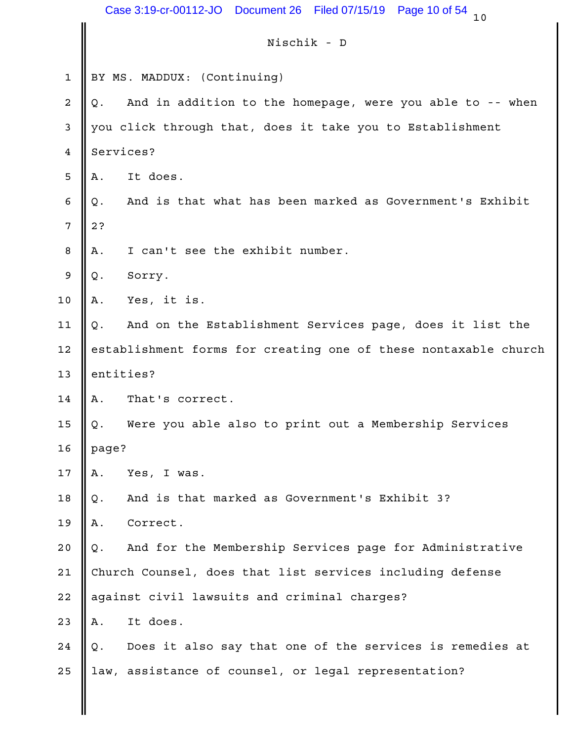|             | Case 3:19-cr-00112-JO  Document 26  Filed 07/15/19              | Page 10 of 54<br>10 |
|-------------|-----------------------------------------------------------------|---------------------|
|             | Nischik - D                                                     |                     |
| $\mathbf 1$ | BY MS. MADDUX: (Continuing)                                     |                     |
| 2           | And in addition to the homepage, were you able to -- when<br>Q. |                     |
| 3           | you click through that, does it take you to Establishment       |                     |
| 4           | Services?                                                       |                     |
| 5           | It does.<br>Α.                                                  |                     |
| 6           | And is that what has been marked as Government's Exhibit<br>Q.  |                     |
| 7           | 2?                                                              |                     |
| 8           | I can't see the exhibit number.<br>Α.                           |                     |
| 9           | Q.<br>Sorry.                                                    |                     |
| $10$        | Yes, it is.<br>Α.                                               |                     |
| 11          | And on the Establishment Services page, does it list the<br>Q.  |                     |
| 12          | establishment forms for creating one of these nontaxable church |                     |
| 13          | entities?                                                       |                     |
| 14          | That's correct.<br>Α.                                           |                     |
| 15          | Were you able also to print out a Membership Services<br>Q.     |                     |
| 16          | page?                                                           |                     |
| $17$        | Yes, I was.<br>Α.                                               |                     |
| 18          | And is that marked as Government's Exhibit 3?<br>Q.             |                     |
| 19          | Correct.<br>Α.                                                  |                     |
| 20          | And for the Membership Services page for Administrative<br>Q.   |                     |
| 21          | Church Counsel, does that list services including defense       |                     |
| 22          | against civil lawsuits and criminal charges?                    |                     |
| 23          | It does.<br>Α.                                                  |                     |
| 24          | Does it also say that one of the services is remedies at<br>Q.  |                     |
| 25          | law, assistance of counsel, or legal representation?            |                     |
|             |                                                                 |                     |
|             |                                                                 |                     |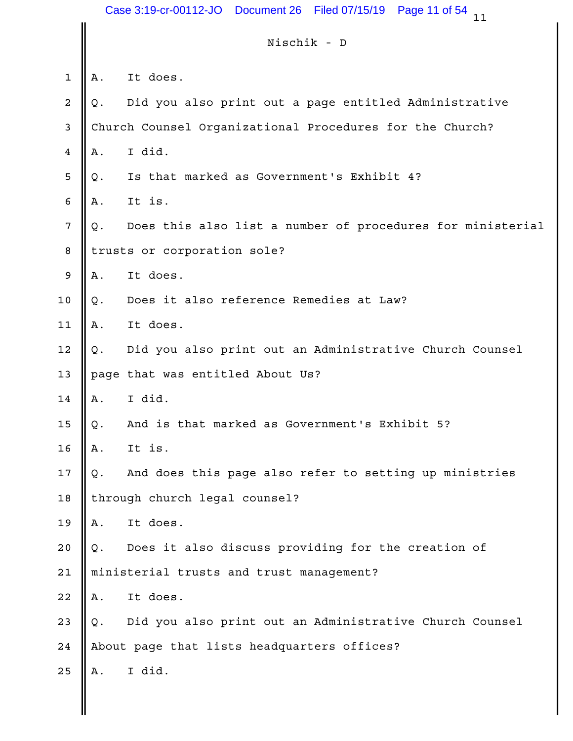|                |    | Case 3:19-cr-00112-JO<br>Document 26<br>Filed 07/15/19<br>Page 11 of 54<br>11 |
|----------------|----|-------------------------------------------------------------------------------|
|                |    | Nischik - D                                                                   |
| $\mathbf{1}$   | Α. | It does.                                                                      |
| $\overline{a}$ | Q. | Did you also print out a page entitled Administrative                         |
| 3              |    | Church Counsel Organizational Procedures for the Church?                      |
| 4              | Α. | I did.                                                                        |
| 5              | Q. | Is that marked as Government's Exhibit 4?                                     |
| 6              | Α. | It is.                                                                        |
| 7              | Q. | Does this also list a number of procedures for ministerial                    |
| 8              |    | trusts or corporation sole?                                                   |
| 9              | Α. | It does.                                                                      |
| 10             | Q. | Does it also reference Remedies at Law?                                       |
| 11             | Α. | It does.                                                                      |
| 12             | Q. | Did you also print out an Administrative Church Counsel                       |
| 13             |    | page that was entitled About Us?                                              |
| 14             | Α. | I did.                                                                        |
| 15             | Q. | And is that marked as Government's Exhibit 5?                                 |
| 16             | Α. | It is.                                                                        |
| $17$           | Q. | And does this page also refer to setting up ministries                        |
| 18             |    | through church legal counsel?                                                 |
| 19             | Α. | It does.                                                                      |
| 20             | Q. | Does it also discuss providing for the creation of                            |
| 21             |    | ministerial trusts and trust management?                                      |
| 22             | Α. | It does.                                                                      |
| 23             | Q. | Did you also print out an Administrative Church Counsel                       |
| 24             |    | About page that lists headquarters offices?                                   |
| 25             | Α. | I did.                                                                        |
|                |    |                                                                               |
|                |    |                                                                               |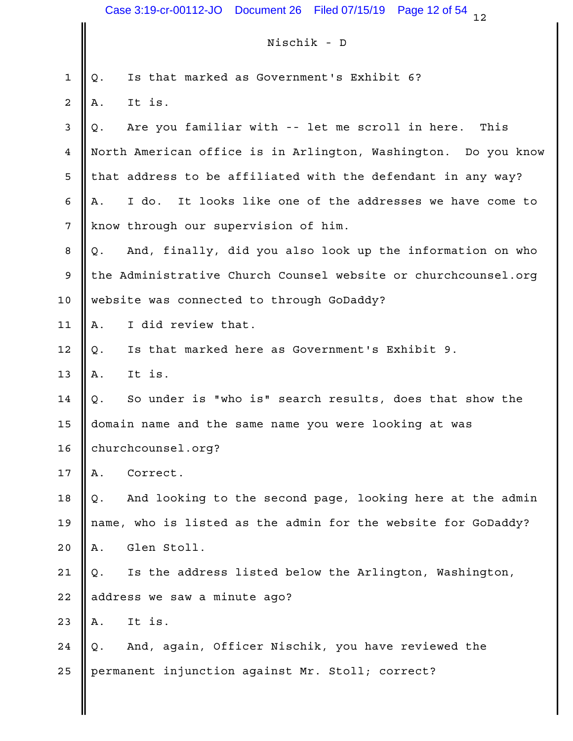|                 | Case 3:19-cr-00112-JO  Document 26  Filed 07/15/19<br>Page 12 of 54<br>12 |
|-----------------|---------------------------------------------------------------------------|
|                 | Nischik - D                                                               |
| 1               | Is that marked as Government's Exhibit 6?<br>Q.                           |
| 2               | It is.<br>Α.                                                              |
| 3               | Are you familiar with -- let me scroll in here.<br>This<br>Q.             |
| 4               | North American office is in Arlington, Washington. Do you know            |
| 5               | that address to be affiliated with the defendant in any way?              |
| 6               | I do. It looks like one of the addresses we have come to<br>Α.            |
| $7\phantom{.0}$ | know through our supervision of him.                                      |
| 8               | And, finally, did you also look up the information on who<br>Q.           |
| 9               | the Administrative Church Counsel website or churchcounsel.org            |
| 10              | website was connected to through GoDaddy?                                 |
| 11              | I did review that.<br>Α.                                                  |
| 12              | Is that marked here as Government's Exhibit 9.<br>Q.                      |
| 13              | It is.<br>Α.                                                              |
| 14              | So under is "who is" search results, does that show the<br>Q.             |
| 15              | domain name and the same name you were looking at was                     |
| 16              | churchcounsel.org?                                                        |
| 17              | Correct.<br>Α.                                                            |
| 18              | And looking to the second page, looking here at the admin<br>Q.           |
| 19              | name, who is listed as the admin for the website for GoDaddy?             |
| 20              | Glen Stoll.<br>Α.                                                         |
| 21              | Is the address listed below the Arlington, Washington,<br>Q.              |
| 22              | address we saw a minute ago?                                              |
| 23              | It is.<br>Α.                                                              |
| 24              | And, again, Officer Nischik, you have reviewed the<br>Q.                  |
| 25              | permanent injunction against Mr. Stoll; correct?                          |
|                 |                                                                           |
|                 |                                                                           |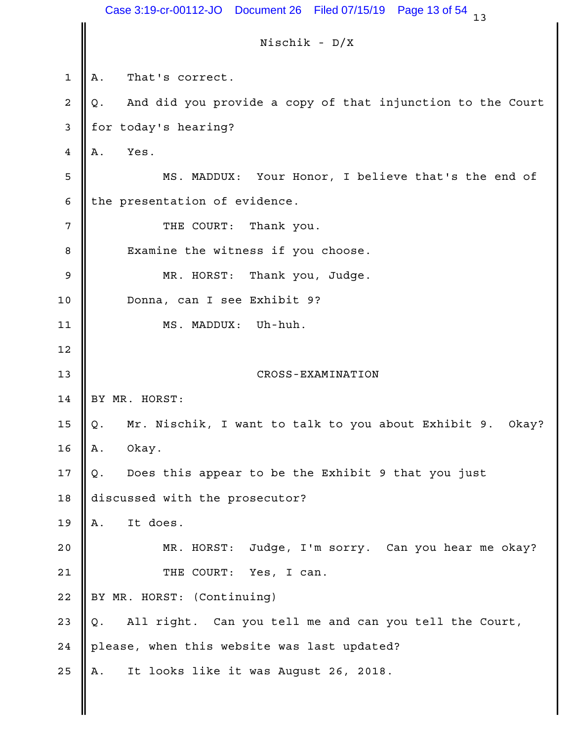|             | Case 3:19-cr-00112-JO  Document 26<br>Filed 07/15/19<br>Page 13 of 54<br>13 |
|-------------|-----------------------------------------------------------------------------|
|             | Nischik - D/X                                                               |
| $\mathbf 1$ | That's correct.<br>Α.                                                       |
| 2           | And did you provide a copy of that injunction to the Court<br>Q.            |
| 3           | for today's hearing?                                                        |
| 4           | Α.<br>Yes.                                                                  |
| 5           | Your Honor, I believe that's the end of<br>MS. MADDUX:                      |
| 6           | the presentation of evidence.                                               |
| 7           | Thank you.<br>THE COURT:                                                    |
| 8           | Examine the witness if you choose.                                          |
| 9           | MR. HORST: Thank you, Judge.                                                |
| 10          | Donna, can I see Exhibit 9?                                                 |
| 11          | Uh-huh.<br>MS. MADDUX:                                                      |
| 12          |                                                                             |
| 13          | CROSS-EXAMINATION                                                           |
| 14          | BY MR. HORST:                                                               |
| 15          | Mr. Nischik, I want to talk to you about Exhibit 9. Okay?<br>Q.             |
| 16          | Α.<br>Okay.                                                                 |
| $17$        | Does this appear to be the Exhibit 9 that you just<br>Q.                    |
| $18$        | discussed with the prosecutor?                                              |
| 19          | It does.<br>Α.                                                              |
| 20          | Judge, I'm sorry. Can you hear me okay?<br>MR. HORST:                       |
| 21          | THE COURT:<br>Yes, I can.                                                   |
| 22          | BY MR. HORST: (Continuing)                                                  |
| 23          | All right. Can you tell me and can you tell the Court,<br>Q.                |
| 24          | please, when this website was last updated?                                 |
| 25          | It looks like it was August 26, 2018.<br>Α.                                 |
|             |                                                                             |
|             |                                                                             |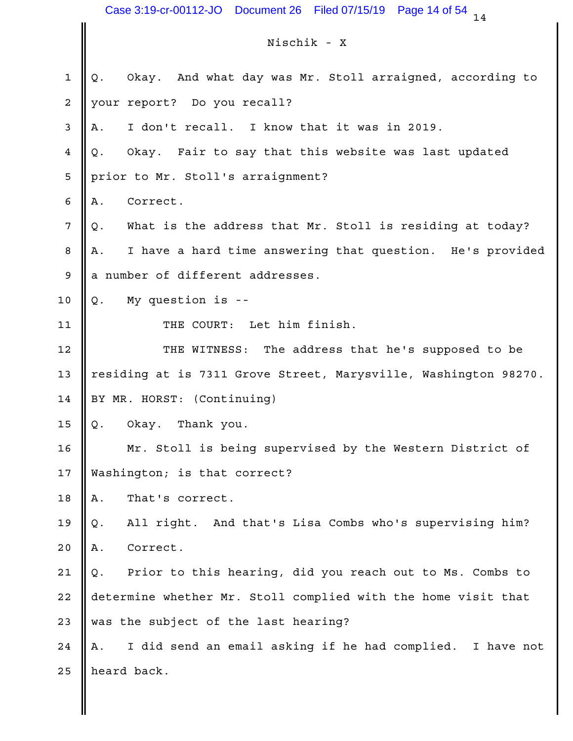$14$ Nischik - X Case 3:19-cr-00112-JO Document 26 Filed 07/15/19 Page 14 of 54 14<br>Nischik - X<br>Q. Okay. And what day was Mr. Stoll arraigned, according to<br>your report? Do you recall?<br>A. I don't recall. I know that it was in 2019.<br>Q. Okay. 2 || your report? Do you recall? Case 3:19-cr-00112-JO Document 26 Filed 07/15/19 Page 14 of 54 14<br>Nischik - X<br>Q. Okay. And what day was Mr. Stoll arraigned, according to<br>your report? Do you recall?<br>A. I don't recall. I know that it was in 2019.<br>Q. Okay. Case 3:19-cr-00112-JO Document 26 Filed 07/15/19 Page 14 of 54 14<br>Nischik - X<br>Q. Okay. And what day was Mr. Stoll arraigned, according to<br>your report? Do you recall?<br>A. I don't recall. I know that it was in 2019.<br>Q. Okay. 5 || prior to Mr. Stoll's arraignment? Case 3:19-cr-00112-JO Document 26 Filed 07/15/19 Page 1<br>Nischik - X<br>Q. Okay. And what day was Mr. Stoll arraigned<br>your report? Do you recall?<br>A. I don't recall. I know that it was in 2015<br>Q. Okay. Fair to say that this web Case 3:19-cr-00112-JO Document 26 Filed 07/15/19 Page 14 of 54  $_{14}$ <br>
Nischik - X<br>
Q. Okay. And what day was Mr. Stoll arraigned, according to<br>
your report? Do you recall?<br>
A. I don't recall. I know that it was in 2019.<br> Nischik - X<br>
2. Okay. And what day was Mr. Stoll arraigned, according to<br>
your report? Do you recall?<br>
A. I don't recall. I know that it was in 2019.<br>
2. Okay. Fair to say that this website was last updated<br>
prior to Mr. S  $9 \parallel$  a number of different addresses. g. Okay. And What day was MI. Stoll alleged<br>your report? Do you recall?<br>A. I don't recall. I know that it was in 2015<br>Q. Okay. Fair to say that this website was la<br>prior to Mr. Stoll's arraignment?<br>A. Correct.<br>Q. What is t 11 || THE COURT: Let him finish. 12 || THE WITNESS: The address that he's supposed to be | 13 || residing at is 7311 Grove Street, Marysville, Washington 98270. | 14 BY MR. HORST: (Continuing) A. Collect.<br>
Q. What is the address that Mr. Stoll is resident<br>
A. I have a hard time answering that question.<br>
a number of different addresses.<br>
Q. My question is --<br>
THE COURT: Let him finish.<br>
THE WITNESS: The address t 16 || Mr. Stoll is being supervised by the Western District of || 17 || Washington; is that correct? Q. My question is --<br>THE COURT: Let him finish.<br>THE WITNESS: The address that he's su<br>residing at is 7311 Grove Street, Marysville, Wa<br>BY MR. HORST: (Continuing)<br>Q. Okay. Thank you.<br>Mr. Stoll is being supervised by the Wes Q. Ay question is --<br>THE COURT: Let him finish.<br>THE WITNESS: The address that he's supposed to be<br>residing at is 7311 Grove Street, Marysville, Washington 98270.<br>BY MR. HORST: (Continuing)<br>Q. Okay. Thank you.<br>Mr. Stoll is IRE WITNESS: The address that he's st<br>residing at is 7311 Grove Street, Marysville, Wa<br>BY MR. HORST: (Continuing)<br>Q. Okay. Thank you.<br>Mr. Stoll is being supervised by the Wester<br>Washington; is that correct?<br>A. That's corre Ins winsboot the address that he's supposed to be<br>residing at is 7311 Grove Street, Marysville, Washington 98270.<br>BY MR. HORST: (Continuing)<br>Q. Okay. Thank you.<br>Mr. Stoll is being supervised by the Western District of<br>Wash 22 || determine whether Mr. Stoll complied with the home visit that 23 Was the subject of the last hearing? U. Okay. Imamk you.<br>
Mr. Stoll is being supervised by the Western District of<br>
Washington; is that correct?<br>
A. That's correct.<br>
Q. All right. And that's Lisa Combs who's supervising him?<br>
A. Correct.<br>
Q. Prior to this hea 25 || heard back. 1  $\parallel$  Q. Okay. And what day was Mr. Stoll arraigned, according to  $3$  || A. I don't recall. I know that it was in 2019. 4  $\parallel$  Q. Okay. Fair to say that this website was last updated  $6$  A. Correct. 7  $\parallel$  Q. What is the address that Mr. Stoll is residing at today? 8 || A. I have a hard time answering that question. He's provided 10  $\parallel$  Q. My question is -- $15$  | Q. Okay. Thank you. 18  $\parallel$  A. That's correct. 19 || Q. All right. And that's Lisa Combs who's supervising him? 20 || A. Correct. 21  $\parallel$  Q. Prior to this hearing, did you reach out to Ms. Combs to 24 || A. I did send an email asking if he had complied. I have not Case 3:19-cr-00112-JO Document 26 Filed 07/15/19 Page 14 of 54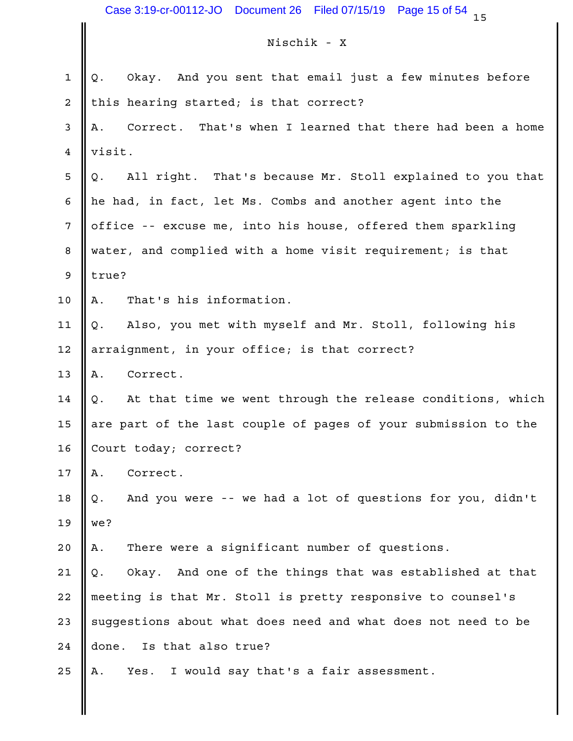# Nischik - X

|                | Case 3:19-cr-00112-JO  Document 26  Filed 07/15/19<br>Page 15 of 54<br>15 |
|----------------|---------------------------------------------------------------------------|
|                | Nischik - X                                                               |
| $\mathbf 1$    | Okay. And you sent that email just a few minutes before<br>Q.             |
| 2              | this hearing started; is that correct?                                    |
| 3              | Correct. That's when I learned that there had been a home<br>Α.           |
| 4              | visit.                                                                    |
| 5              | All right. That's because Mr. Stoll explained to you that<br>Q.           |
| 6              | he had, in fact, let Ms. Combs and another agent into the                 |
| $\overline{7}$ | office -- excuse me, into his house, offered them sparkling               |
| 8              | water, and complied with a home visit requirement; is that                |
| 9              | true?                                                                     |
| 10             | That's his information.<br>Α.                                             |
| 11             | Also, you met with myself and Mr. Stoll, following his<br>Q.              |
| 12             | arraignment, in your office; is that correct?                             |
| 13             | Correct.<br>Α.                                                            |
| 14             | At that time we went through the release conditions, which<br>Q.          |
| 15             | are part of the last couple of pages of your submission to the            |
| 16             | Court today; correct?                                                     |
| 17             | Correct.<br>Α.                                                            |
| 18             | And you were -- we had a lot of questions for you, didn't<br>Q.           |
| 19             | we?                                                                       |
| 20             | There were a significant number of questions.<br>Α.                       |
| 21             | Okay. And one of the things that was established at that<br>Q.            |
| 22             | meeting is that Mr. Stoll is pretty responsive to counsel's               |
| 23             | suggestions about what does need and what does not need to be             |
| 24             | done. Is that also true?                                                  |
| 25             | Yes. I would say that's a fair assessment.<br>Α.                          |
|                |                                                                           |
|                |                                                                           |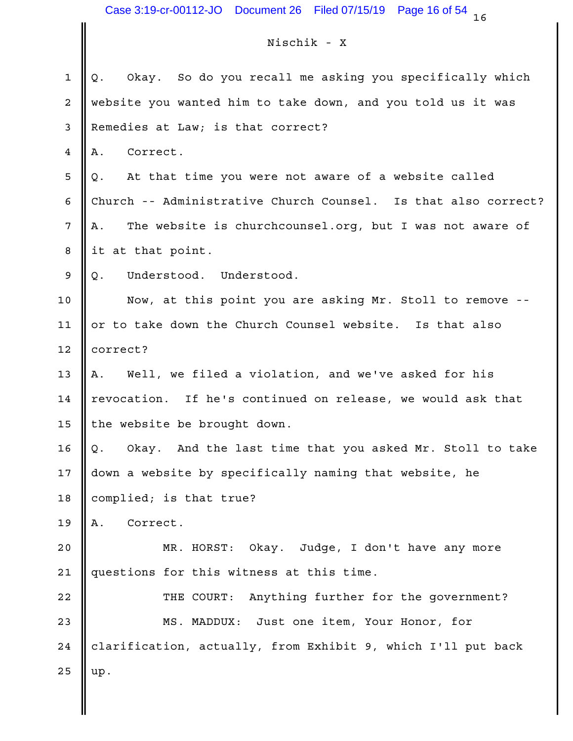# Nischik - X

|    | Case 3:19-cr-00112-JO  Document 26<br>Filed 07/15/19<br>Page 16 of 54<br>16 |
|----|-----------------------------------------------------------------------------|
|    | Nischik - X                                                                 |
| 1  | Okay. So do you recall me asking you specifically which                     |
| 2  | Q.<br>website you wanted him to take down, and you told us it was           |
| 3  | Remedies at Law; is that correct?                                           |
| 4  | Correct.<br>Α.                                                              |
| 5  | At that time you were not aware of a website called<br>Q.                   |
| 6  | Church -- Administrative Church Counsel. Is that also correct?              |
| 7  | The website is churchcounsel.org, but I was not aware of<br>Α.              |
| 8  | it at that point.                                                           |
| 9  | Q.<br>Understood. Understood.                                               |
| 10 | Now, at this point you are asking Mr. Stoll to remove --                    |
| 11 | or to take down the Church Counsel website. Is that also                    |
| 12 | correct?                                                                    |
| 13 | Well, we filed a violation, and we've asked for his<br>Α.                   |
| 14 | revocation. If he's continued on release, we would ask that                 |
| 15 | the website be brought down.                                                |
| 16 | Okay. And the last time that you asked Mr. Stoll to take<br>Q.              |
| 17 | down a website by specifically naming that website, he                      |
| 18 | complied; is that true?                                                     |
| 19 | Correct.<br>Α.                                                              |
| 20 | MR. HORST: Okay.<br>Judge, I don't have any more                            |
| 21 | questions for this witness at this time.                                    |
| 22 | Anything further for the government?<br>THE COURT:                          |
| 23 | MS. MADDUX: Just one item, Your Honor, for                                  |
| 24 | clarification, actually, from Exhibit 9, which I'll put back                |
| 25 | up.                                                                         |
|    |                                                                             |
|    |                                                                             |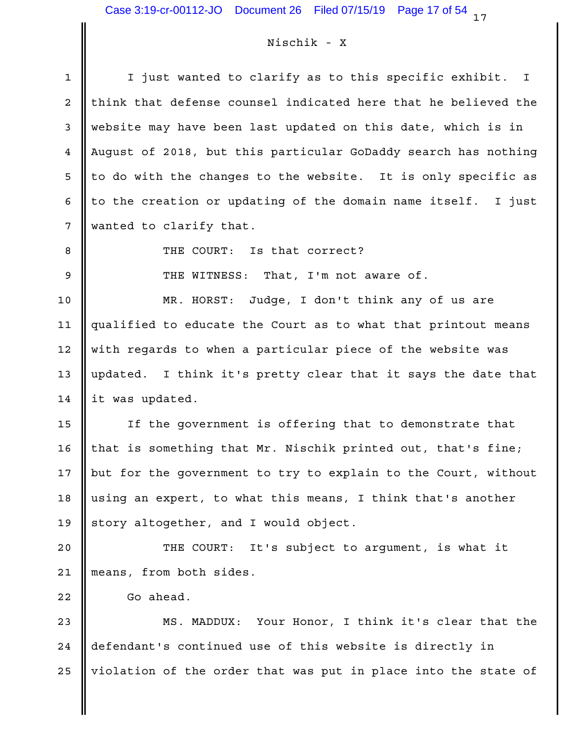# Nischik - X

| $\mathbf 1$    | I just wanted to clarify as to this specific exhibit. I        |
|----------------|----------------------------------------------------------------|
| 2              | think that defense counsel indicated here that he believed the |
| 3              | website may have been last updated on this date, which is in   |
| $\overline{4}$ | August of 2018, but this particular GoDaddy search has nothing |
| 5              | to do with the changes to the website. It is only specific as  |
| 6              | to the creation or updating of the domain name itself. I just  |
| 7              | wanted to clarify that.                                        |
| 8              | THE COURT: Is that correct?                                    |
| 9              | THE WITNESS: That, I'm not aware of.                           |
| 10             | Judge, I don't think any of us are<br>MR. HORST:               |
| 11             | qualified to educate the Court as to what that printout means  |
| 12             | with regards to when a particular piece of the website was     |
| 13             | updated. I think it's pretty clear that it says the date that  |
| 14             | it was updated.                                                |
| 15             | If the government is offering that to demonstrate that         |
| 16             | that is something that Mr. Nischik printed out, that's fine;   |
| 17             | but for the government to try to explain to the Court, without |
| 18             | using an expert, to what this means, I think that's another    |
| 19             | story altogether, and I would object.                          |
| 20             | It's subject to argument, is what it<br>THE COURT:             |
| 21             | means, from both sides.                                        |
| 22             | Go ahead.                                                      |
| 23             | Your Honor, I think it's clear that the<br>MS. MADDUX:         |
| 24             | defendant's continued use of this website is directly in       |
| 25             | violation of the order that was put in place into the state of |
|                |                                                                |
|                |                                                                |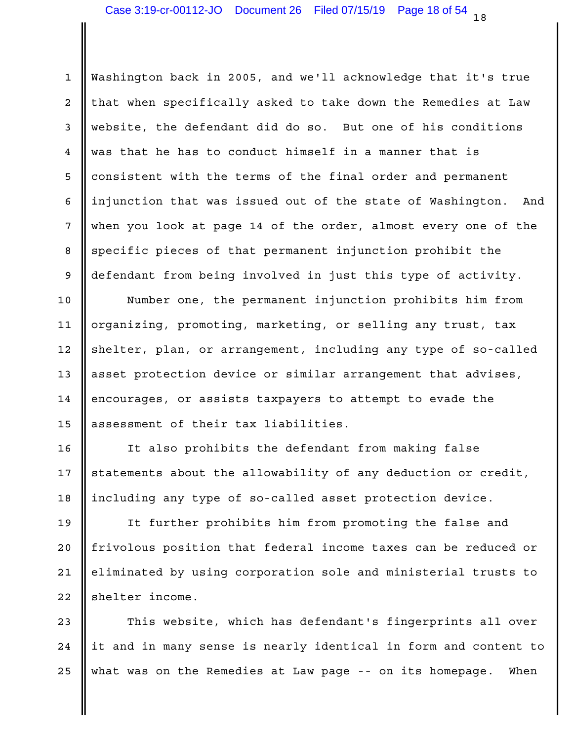1 || Washington back in 2005, and we'll acknowledge that it's true 2 || that when specifically asked to take down the Remedies at Law | 3 || website, the defendant did do so. But one of his conditions 4 was that he has to conduct himself in a manner that is 5 || consistent with the terms of the final order and permanent 6 || injunction that was issued out of the state of Washington. And | 7 when you look at page 14 of the order, almost every one of the 8 Sepecific pieces of that permanent injunction prohibit the 9 || defendant from being involved in just this type of activity. |

10  $\parallel$  Mumber one, the permanent injunction prohibits him from  $\parallel$ 11 || organizing, promoting, marketing, or selling any trust, tax | 12 || shelter, plan, or arrangement, including any type of so-called | 13 || asset protection device or similar arrangement that advises, 14 |encourages, or assists taxpayers to attempt to evade the 15 assessment of their tax liabilities.

16 || It also prohibits the defendant from making false | 17  $\parallel$  statements about the allowability of any deduction or credit,  $\parallel$ 18 || including any type of so-called asset protection device.

19 || It further prohibits him from promoting the false and 20 || frivolous position that federal income taxes can be reduced or | 21 || eliminated by using corporation sole and ministerial trusts to  $\qquad \vert$ 22 Shelter income.

23 || This website, which has defendant's fingerprints all over | 24  $\parallel$  it and in many sense is nearly identical in form and content to  $\parallel$ what was on the Remedies at Law page -- on its homepage. When 25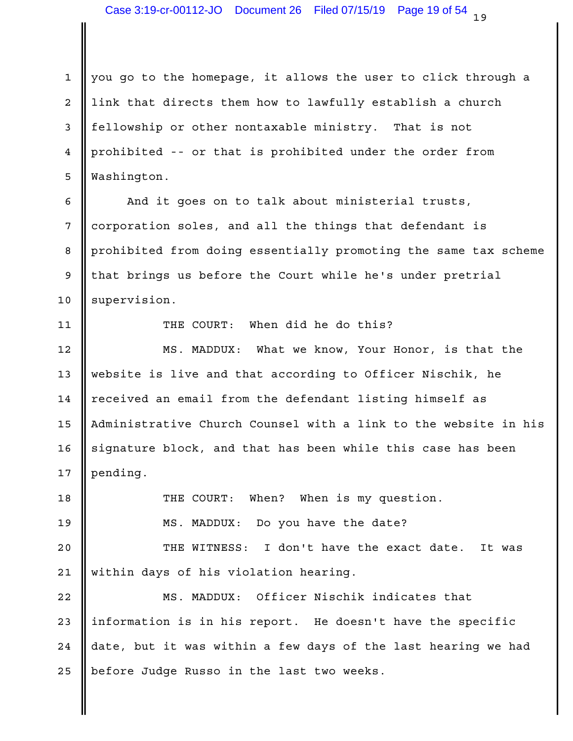$1 \parallel$  you go to the homepage, it allows the user to click through a 2 || link that directs them how to lawfully establish a church 3 || fellowship or other nontaxable ministry. That is not 4 || prohibited -- or that is prohibited under the order from Washington. 5

6 || And it goes on to talk about ministerial trusts, | 7 || corporation soles, and all the things that defendant is 8 | prohibited from doing essentially promoting the same tax scheme | 9 || that brings us before the Court while he's under pretrial 10 | supervision.

THE COURT: When did he do this? 11

12 || MS. MADDUX: What we know, Your Honor, is that the | 13 || website is live and that according to Officer Nischik, he 14 || received an email from the defendant listing himself as 15 || Administrative Church Counsel with a link to the website in his | 16 || signature block, and that has been while this case has been || 17 pending.

When? When is my question. MS. MADDUX: Do you have the date? 19 20 || THE WITNESS: I don't have the exact date. It was | 21 || within days of his violation hearing. 18 **I** THE COURT:

22 || MS. MADDUX: Officer Nischik indicates that | 23  $\parallel$  information is in his report. He doesn't have the specific  $\parallel$ 24  $\parallel$  date, but it was within a few days of the last hearing we had  $\parallel$ 25 || before Judge Russo in the last two weeks.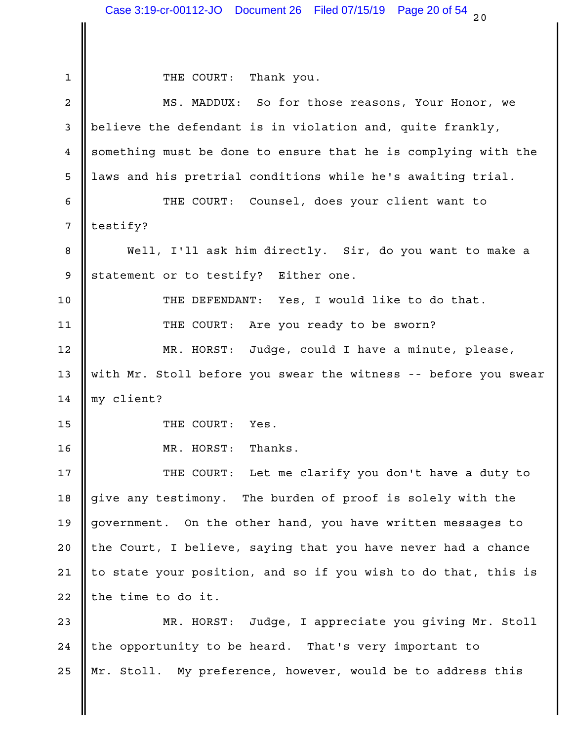1 THE COURT: Thank you. 2 **||** MS. MADDUX: So for those reasons, Your Honor, we 3 || believe the defendant is in violation and, quite frankly,  $\qquad \qquad \mid$ 4 Something must be done to ensure that he is complying with the 5 || laws and his pretrial conditions while he's awaiting trial. THE COURT: Counsel, does your client want to 6 7 || testify? 8 || Well, I'll ask him directly. Sir, do you want to make a | 9 Statement or to testify? Either one. 10 || THE DEFENDANT: Yes, I would like to do that. | THE COURT: Are you ready to be sworn? 11 Judge, could I have a minute, please, 13 || with Mr. Stoll before you swear the witness -- before you swear | 14 || my client? 15 Solution of the COURT: Yes. 16 **I** MR. HORST: Thanks. 17 || THE COURT: Let me clarify you don't have a duty to | 18 give any testimony. The burden of proof is solely with the the the state of  $\vert$ 19 government. On the other hand, you have written messages to 20 || the Court, I believe, saying that you have never had a chance 21  $\parallel$  to state your position, and so if you wish to do that, this is  $\parallel$ 22 || the time to do it. 23 || MR. HORST: Judge, I appreciate you giving Mr. Stoll | 24 || the opportunity to be heard. That's very important to 25 || Mr. Stoll. My preference, however, would be to address this 12 MR. HORST: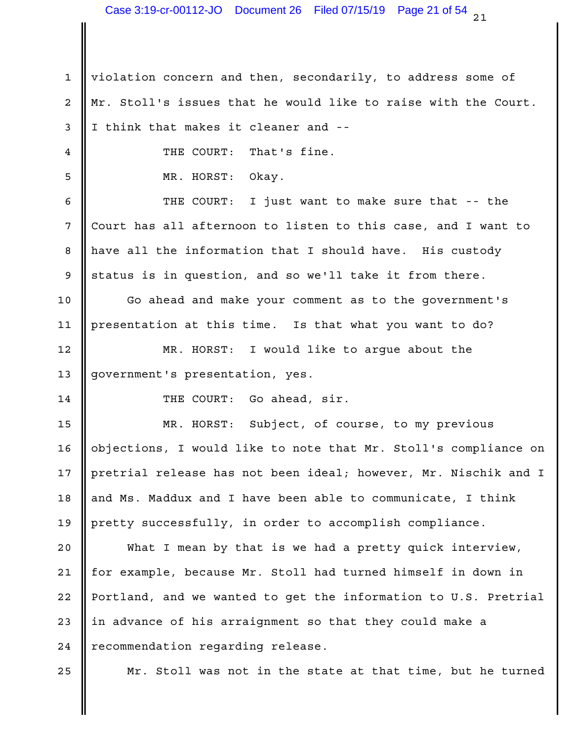1 || violation concern and then, secondarily, to address some of 2 || Mr. Stoll's issues that he would like to raise with the Court. | 3 I think that makes it cleaner and --That's fine. MR. HORST: Okay. 5 6 || THE COURT: I just want to make sure that -- the | 7 Court has all afternoon to listen to this case, and I want to 8 || have all the information that I should have. His custody Theory 9 Status is in question, and so we'll take it from there. 10 || Go ahead and make your comment as to the government's 11 || presentation at this time. Is that what you want to do? I would like to argue about the 13 || government's presentation, yes. THE COURT: Go ahead, sir. 14 15 || MR. HORST: Subject, of course, to my previous | 16 || objections, I would like to note that Mr. Stoll's compliance on | 17  $\parallel$  pretrial release has not been ideal; however, Mr. Nischik and I  $\parallel$ 18 || and Ms. Maddux and I have been able to communicate, I think || 19 || pretty successfully, in order to accomplish compliance. 20  $\parallel$  What I mean by that is we had a pretty quick interview,  $\parallel$ 21 || for example, because Mr. Stoll had turned himself in down in 22 || Portland, and we wanted to get the information to U.S. Pretrial | 4 **II** THE COURT: 12 | MR. HORST:

23  $\parallel$  in advance of his arraignment so that they could make a  $\parallel$ 24 | recommendation regarding release.

25 || Mr. Stoll was not in the state at that time, but he turned |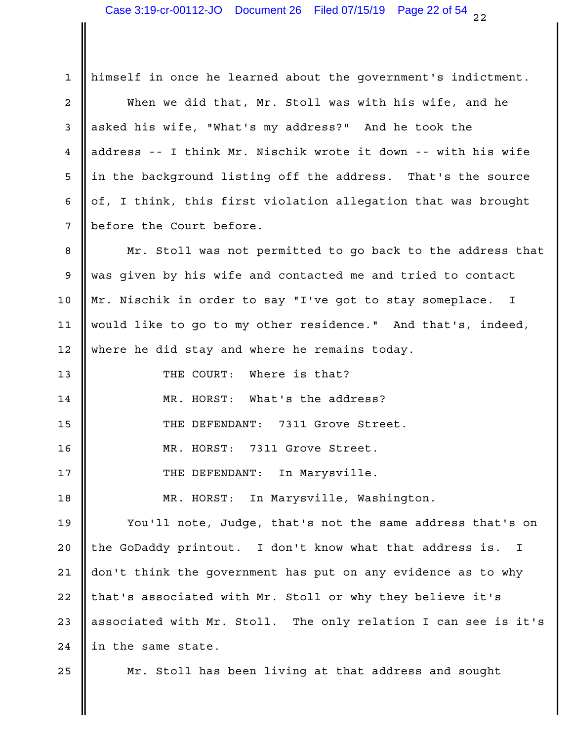| $\mathbf{1}$    | himself in once he learned about the government's indictment.  |  |
|-----------------|----------------------------------------------------------------|--|
| 2               | When we did that, Mr. Stoll was with his wife, and he          |  |
| 3               | asked his wife, "What's my address?" And he took the           |  |
| 4               | address -- I think Mr. Nischik wrote it down -- with his wife  |  |
| 5               | in the background listing off the address. That's the source   |  |
| 6               | of, I think, this first violation allegation that was brought  |  |
| $7\phantom{.0}$ | before the Court before.                                       |  |
| 8               | Mr. Stoll was not permitted to go back to the address that     |  |
| 9               | was given by his wife and contacted me and tried to contact    |  |
| $10 \,$         | Mr. Nischik in order to say "I've got to stay someplace. I     |  |
| 11              | would like to go to my other residence." And that's, indeed,   |  |
| $12 \,$         | where he did stay and where he remains today.                  |  |
| 13              | Where is that?<br>THE COURT:                                   |  |
| 14              | MR. HORST:<br>What's the address?                              |  |
| 15              | 7311 Grove Street.<br>THE DEFENDANT:                           |  |
| 16              | MR. HORST:<br>7311 Grove Street.                               |  |
| 17              | In Marysville.<br>THE DEFENDANT:                               |  |
| 18              | In Marysville, Washington.<br>MR. HORST:                       |  |
| 19              | You'll note, Judge, that's not the same address that's on      |  |
| 20              | the GoDaddy printout. I don't know what that address is. I     |  |
| 21              | don't think the government has put on any evidence as to why   |  |
| 22              | that's associated with Mr. Stoll or why they believe it's      |  |
| 23              | associated with Mr. Stoll. The only relation I can see is it's |  |
| 24              | in the same state.                                             |  |
| 25              | Mr. Stoll has been living at that address and sought           |  |

II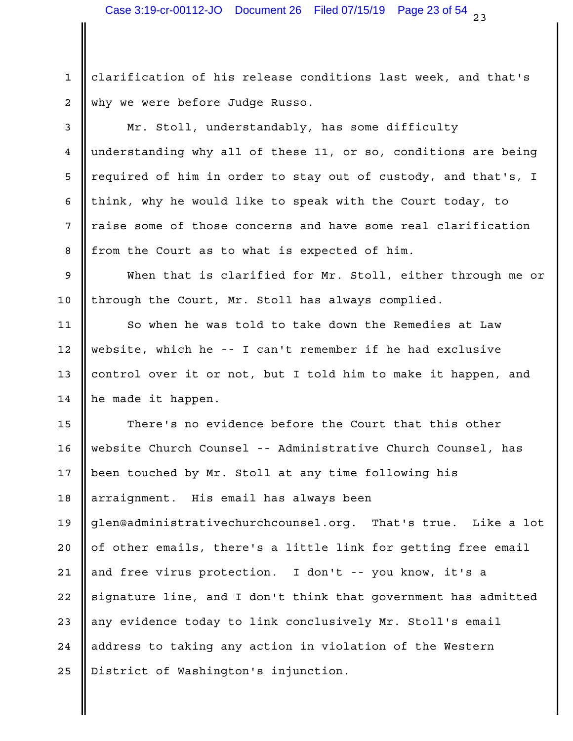1 || clarification of his release conditions last week, and that's why we were before Judge Russo. 2

3 || Mr. Stoll, understandably, has some difficulty 4 understanding why all of these 11, or so, conditions are being | 5  $\parallel$  required of him in order to stay out of custody, and that's, I  $\parallel$ 6  $\parallel$  think, why he would like to speak with the Court today, to  $\parallel$ 7 || raise some of those concerns and have some real clarification 8 || from the Court as to what is expected of him.

9 When that is clarified for Mr. Stoll, either through me or 10 || through the Court, Mr. Stoll has always complied.

11 || So when he was told to take down the Remedies at Law | website, which he -- I can't remember if he had exclusive 12 13 || control over it or not, but I told him to make it happen, and 14 he made it happen.

15 || There's no evidence before the Court that this other | 16 || website Church Counsel -- Administrative Church Counsel, has 17 || been touched by Mr. Stoll at any time following his arraignment. His email has always been 18 19 || glen@administrativechurchcounsel.org. That's true. Like a lot | 20  $\parallel$  of other emails, there's a little link for getting free email  $\parallel$ 21 || and free virus protection. I don't -- you know, it's a 22 || signature line, and I don't think that government has admitted | 23 || any evidence today to link conclusively Mr. Stoll's email 24 || address to taking any action in violation of the Western | 25 || District of Washington's injunction.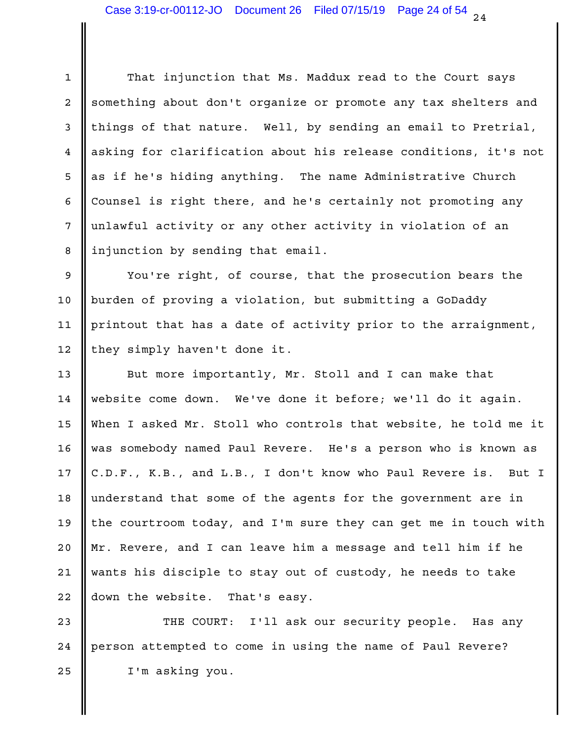1 || That injunction that Ms. Maddux read to the Court says | 2 Something about don't organize or promote any tax shelters and 3 || things of that nature. Well, by sending an email to Pretrial, | 4 || asking for clarification about his release conditions, it's not | 5 || as if he's hiding anything. The name Administrative Church || 6 Counsel is right there, and he's certainly not promoting any 7 || unlawful activity or any other activity in violation of an 8 || injunction by sending that email.

9 Wou're right, of course, that the prosecution bears the burden of proving a violation, but submitting a GoDaddy 10 11 || printout that has a date of activity prior to the arraignment, I 12 || they simply haven't done it.

13 || But more importantly, Mr. Stoll and I can make that 14 || website come down. We've done it before; we'll do it again. | When I asked Mr. Stoll who controls that website, he told me it 15 was somebody named Paul Revere. He's a person who is known as 16 17 C.D.F., K.B., and L.B., I don't know who Paul Revere is. But I | 18 || understand that some of the agents for the government are in 19 || the courtroom today, and I'm sure they can get me in touch with  $|$ 20  $\parallel$  Mr. Revere, and I can leave him a message and tell him if he  $\parallel$ 21 || wants his disciple to stay out of custody, he needs to take  $22$   $\parallel$  down the website. That's easy.

23 || THE COURT: I'll ask our security people. Has any | 24 || person attempted to come in using the name of Paul Revere? 25 U I'm asking you.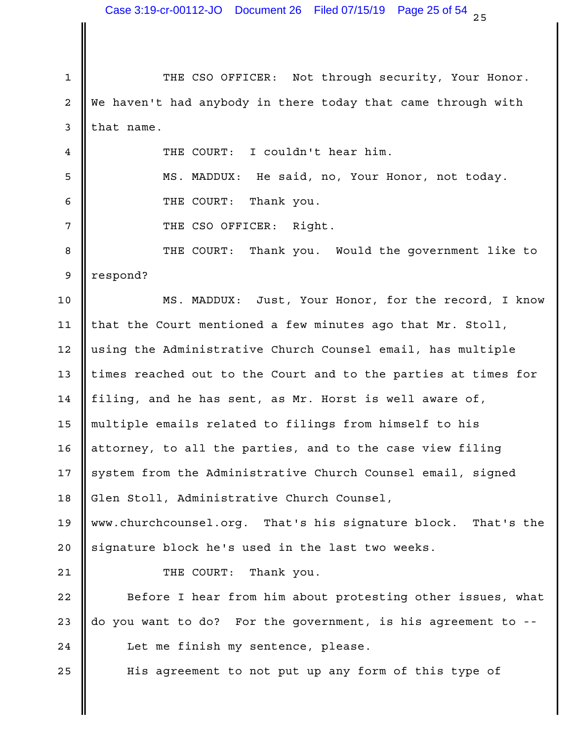1 || THE CSO OFFICER: Not through security, Your Honor. | 2 || We haven't had anybody in there today that came through with |  $3$  that name. I couldn't hear him. MS. MADDUX: He said, no, Your Honor, not today. 5 6 General Medicines of the COURT: Thank you. THE CSO OFFICER: Right. Thank you. Would the government like to 9 || respond? MS. MADDUX: Just, Your Honor, for the record, I know 10 11  $\parallel$  that the Court mentioned a few minutes ago that Mr. Stoll,  $\parallel$ 12 || using the Administrative Church Counsel email, has multiple || 13  $\parallel$  times reached out to the Court and to the parties at times for  $\parallel$ 14  $\parallel$  filing, and he has sent, as Mr. Horst is well aware of, multiple emails related to filings from himself to his 15 16  $\parallel$  attorney, to all the parties, and to the case view filing  $\parallel$ 17 System from the Administrative Church Counsel email, signed 18 || Glen Stoll, Administrative Church Counsel, www.churchcounsel.org. That's his signature block. That's the 19 20 Signature block he's used in the last two weeks. 21 **||** THE COURT: Thank you. 22 || Before I hear from him about protesting other issues, what | 23  $\parallel$  do you want to do? For the government, is his agreement to --  $\parallel$ 24  $\parallel$  Let me finish my sentence, please. 25 || His agreement to not put up any form of this type of  $\qquad$  | 4 **II** THE COURT: 8 **I** THE COURT: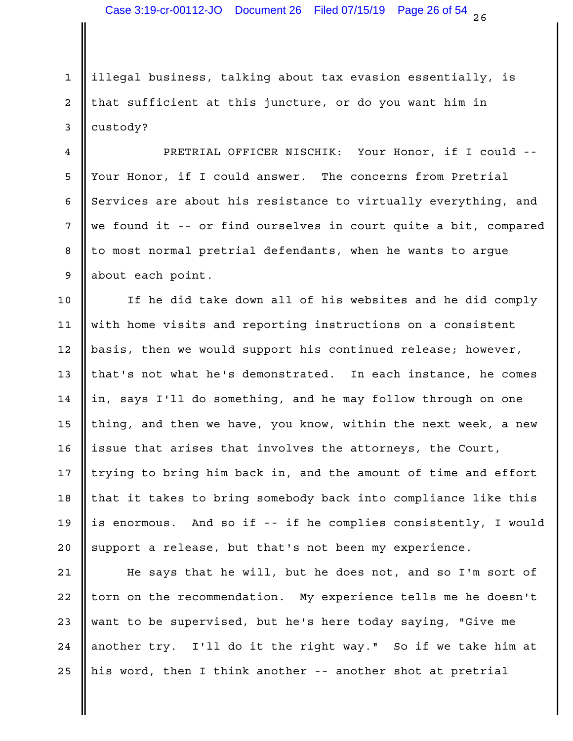1 || illegal business, talking about tax evasion essentially, is 2 || that sufficient at this juncture, or do you want him in 3 custody?

PRETRIAL OFFICER NISCHIK: Your Honor, if I could -- 4 5 || Your Honor, if I could answer. The concerns from Pretrial 6 Services are about his resistance to virtually everything, and 7 We found it -- or find ourselves in court quite a bit, compared | 8 || to most normal pretrial defendants, when he wants to argue 9 || about each point.

 $10$   $\parallel$  If he did take down all of his websites and he did comply  $\parallel$ 11 || with home visits and reporting instructions on a consistent 12 || basis, then we would support his continued release; however, 13 || that's not what he's demonstrated. In each instance, he comes | in, says I'll do something, and he may follow through on one 14 15  $\parallel$  thing, and then we have, you know, within the next week, a new  $\parallel$ 16 || issue that arises that involves the attorneys, the Court, The Industry Lourn 17 || trying to bring him back in, and the amount of time and effort | 18 || that it takes to bring somebody back into compliance like this | is enormous. And so if -- if he complies consistently, I would 19 20 || support a release, but that's not been my experience.

21  $\parallel$  He says that he will, but he does not, and so I'm sort of  $\parallel$ 22 || torn on the recommendation. My experience tells me he doesn't | 23 || want to be supervised, but he's here today saying, "Give me 24 || another try. I'll do it the right way." So if we take him at | 25 || his word, then I think another -- another shot at pretrial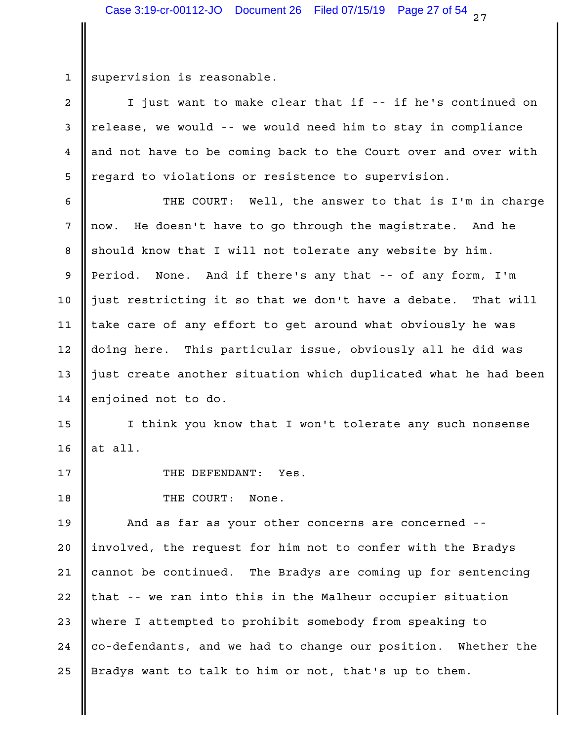1 || supervision is reasonable.

2 || I just want to make clear that if -- if he's continued on 3 || release, we would -- we would need him to stay in compliance 4 and not have to be coming back to the Court over and over with 5 || regard to violations or resistence to supervision.

6 || THE COURT: Well, the answer to that is I'm in charge |  $\begin{array}{ccc} 7 & \text{now.} \end{array}$  He doesn't have to go through the magistrate. And he 8 Soluth Rhould know that I will not tolerate any website by him. 9 Period. None. And if there's any that -- of any form, I'm 10 || just restricting it so that we don't have a debate. That will | 11 || take care of any effort to get around what obviously he was | 12 || doing here. This particular issue, obviously all he did was | 13 || just create another situation which duplicated what he had been | 14 enjoined not to do.

15 || I think you know that I won't tolerate any such nonsense  $16$  at all.

THE DEFENDANT: Yes. 17

18 None. THE COURT: None.

19 **||** And as far as your other concerns are concerned -- || 20 ||involved, the request for him not to confer with the Bradys || 21 || cannot be continued. The Bradys are coming up for sentencing | 22 || that -- we ran into this in the Malheur occupier situation 23 || where I attempted to prohibit somebody from speaking to 24 || co-defendants, and we had to change our position. Whether the I 25 || Bradys want to talk to him or not, that's up to them.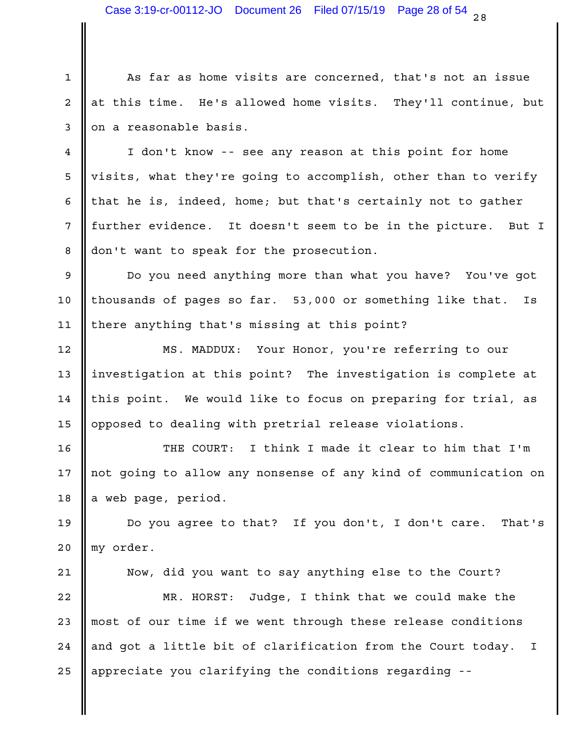$28$ Case 3:19-cr-00112-JO Document 26 Filed 07/15/19 Page 28 of 54

1 || As far as home visits are concerned, that's not an issue 2 || at this time. He's allowed home visits. They'll continue, but | 3 || on a reasonable basis.

4 || I don't know -- see any reason at this point for home 5 || visits, what they're going to accomplish, other than to verify | 6  $\parallel$  that he is, indeed, home; but that's certainly not to gather  $\parallel$ 7 || further evidence. It doesn't seem to be in the picture. But I | 8 don't want to speak for the prosecution.

9 || Do you need anything more than what you have? You've got | 10 || thousands of pages so far. 53,000 or something like that. Is | 11 || there anything that's missing at this point?

12 || MS. MADDUX: Your Honor, you're referring to our | 13 || investigation at this point? The investigation is complete at | 14 || this point. We would like to focus on preparing for trial, as | 15 || opposed to dealing with pretrial release violations.

16 || THE COURT: I think I made it clear to him that I'm | 17 || not going to allow any nonsense of any kind of communication on | 18 a web page, period.

19 || Do you agree to that? If you don't, I don't care. That's | my order. 20

21 || Now, did you want to say anything else to the Court? | 22 || MR. HORST: Judge, I think that we could make the | 23 || most of our time if we went through these release conditions 24  $\parallel$  and got a little bit of clarification from the Court today. I  $\parallel$ 25 || appreciate you clarifying the conditions regarding --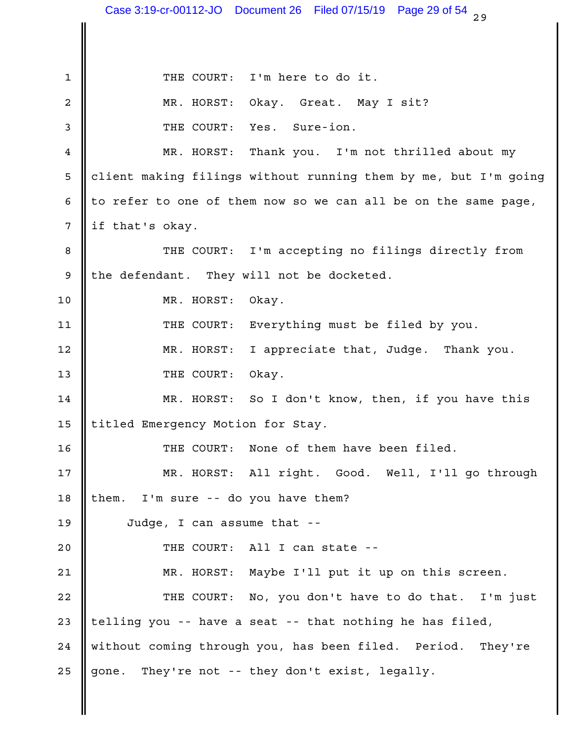$29$ 1 || THE COURT: I'm here to do it. MR. HORST: Okay. Great. May I sit? 2 Yes. Sure-ion. Thank you. I'm not thrilled about my client making filings without running them by me, but I'm going 5 6 || to refer to one of them now so we can all be on the same page,  $\vert$  $7 \parallel$  if that's okay. 8 || THE COURT: I'm accepting no filings directly from | 9 the defendant. They will not be docketed. 10 NR. HORST: Okay. 11 || THE COURT: Everything must be filed by you. I appreciate that, Judge. Thank you. 13 THE COURT: Okay. MR. HORST: So I don't know, then, if you have this 14 15 || titled Emergency Motion for Stay. 16 || THE COURT: None of them have been filed. MR. HORST: All right. Good. Well, I'll go through 17 18 || them. I'm sure -- do you have them? Judge, I can assume that -- 19 THE COURT: All I can state -- 20 21 || MR. HORST: Maybe I'll put it up on this screen. 22 || THE COURT: No, you don't have to do that. I'm just | 23  $\parallel$  telling you -- have a seat -- that nothing he has filed,  $\parallel$ 24 || without coming through you, has been filed. Period. They're | 25 gone. They're not -- they don't exist, legally. 3 **I** THE COURT: 4 || MR. HORST: 12 MR. HORST: Case 3:19-cr-00112-JO Document 26 Filed 07/15/19 Page 29 of 54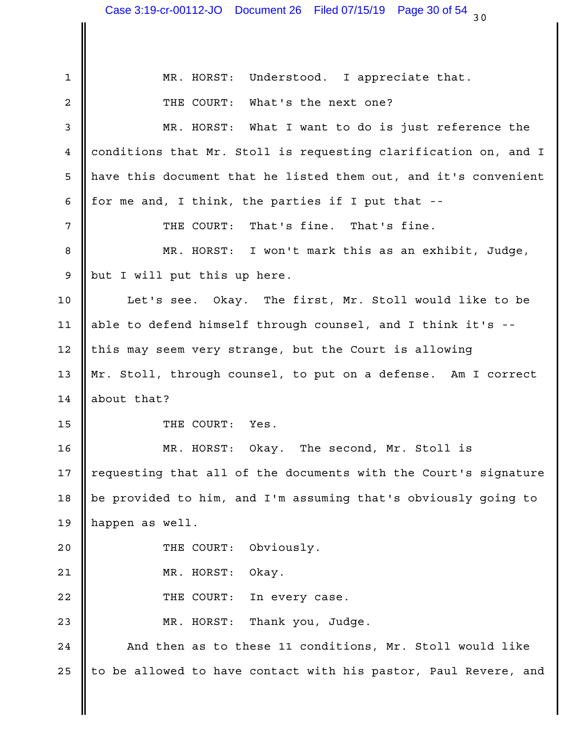|                | ວ ບ                                                             |  |
|----------------|-----------------------------------------------------------------|--|
|                |                                                                 |  |
| $\mathbf 1$    | Understood. I appreciate that.<br>MR. HORST:                    |  |
| $\overline{a}$ | What's the next one?<br>THE COURT:                              |  |
| 3              | What I want to do is just reference the<br>MR. HORST:           |  |
| 4              | conditions that Mr. Stoll is requesting clarification on, and I |  |
| 5              | have this document that he listed them out, and it's convenient |  |
| 6              | for me and, I think, the parties if I put that --               |  |
| 7              | That's fine. That's fine.<br>THE COURT:                         |  |
| 8              | MR. HORST:<br>I won't mark this as an exhibit, Judge,           |  |
| 9              | but I will put this up here.                                    |  |
| 10             | Let's see. Okay. The first, Mr. Stoll would like to be          |  |
| 11             | able to defend himself through counsel, and I think it's --     |  |
| 12             | this may seem very strange, but the Court is allowing           |  |
| 13             | Mr. Stoll, through counsel, to put on a defense. Am I correct   |  |
| 14             | about that?                                                     |  |
| 15             | Yes.<br>THE COURT:                                              |  |
| 16             | The second, Mr. Stoll is<br>MR. HORST:<br>Okay.                 |  |
| 17             | requesting that all of the documents with the Court's signature |  |
| 18             | be provided to him, and I'm assuming that's obviously going to  |  |
| 19             | happen as well.                                                 |  |
| 20             | Obviously.<br>THE COURT:                                        |  |
| 21             | MR. HORST:<br>Okay.                                             |  |
| 22             | THE COURT:<br>In every case.                                    |  |
| 23             | Thank you, Judge.<br>MR. HORST:                                 |  |
| 24             | And then as to these 11 conditions, Mr. Stoll would like        |  |
| 25             | to be allowed to have contact with his pastor, Paul Revere, and |  |
|                |                                                                 |  |
|                |                                                                 |  |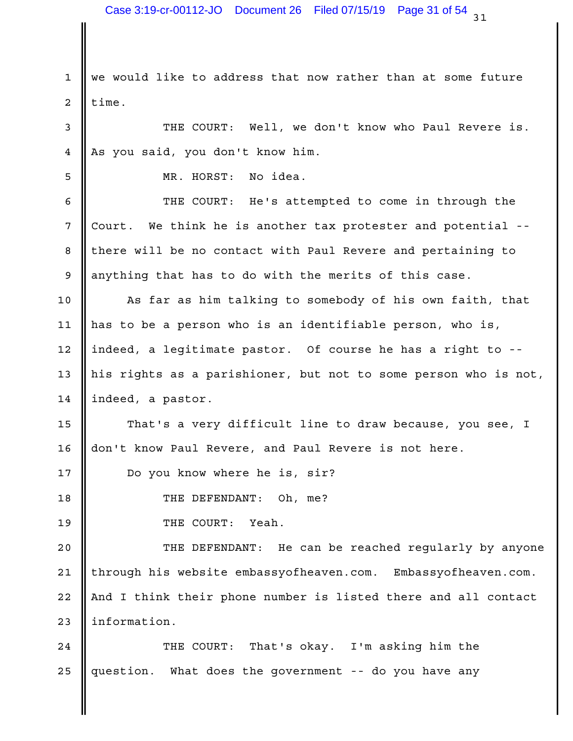1 we would like to address that now rather than at some future 2 | time.

3 || THE COURT: Well, we don't know who Paul Revere is. | 4 As you said, you don't know him.

MR. HORST: No idea. 5

6 || THE COURT: He's attempted to come in through the | 7 Court. We think he is another tax protester and potential --8 || there will be no contact with Paul Revere and pertaining to Theore 9 || anything that has to do with the merits of this case.

10 || As far as him talking to somebody of his own faith, that | 11  $\parallel$  has to be a person who is an identifiable person, who is,  $\parallel$ 12 ||indeed, a legitimate pastor. Of course he has a right to -- || 13 || his rights as a parishioner, but not to some person who is not,  $|$ 14 | indeed, a pastor.

15  $\parallel$  That's a very difficult line to draw because, you see, I  $\parallel$ 16 || don't know Paul Revere, and Paul Revere is not here.

17 | Do you know where he is, sir?

THE DEFENDANT: Oh, me? 18

19 Number of THE COURT: Yeah.

20  $\parallel$  THE DEFENDANT: He can be reached regularly by anyone  $\parallel$ 21 || through his website embassyofheaven.com. Embassyofheaven.com. | 22 || And I think their phone number is listed there and all contact | 23 | information.

That's okay. I'm asking him the 25 || question. What does the government -- do you have any 24 | THE COURT: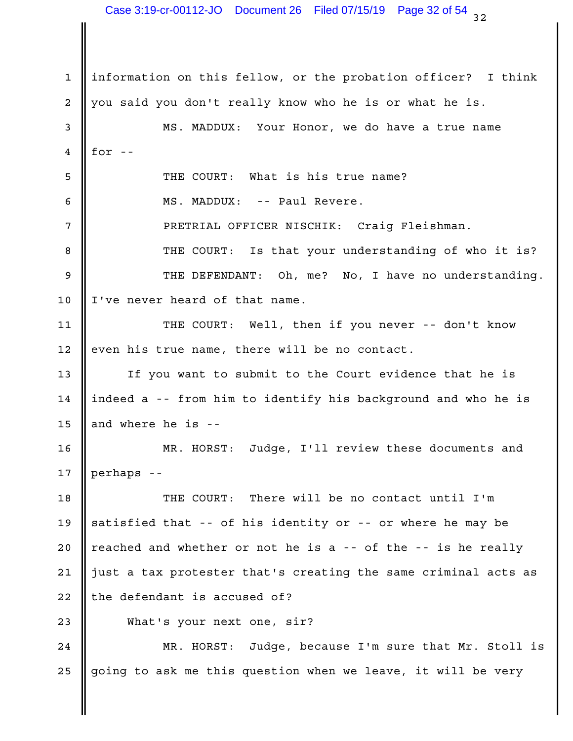1 ||information on this fellow, or the probation officer? I think | 2 || you said you don't really know who he is or what he is. 3 || MS. MADDUX: Your Honor, we do have a true name  $4 \parallel for -$ THE COURT: What is his true name? 5 MS. MADDUX: -- Paul Revere. 6 PRETRIAL OFFICER NISCHIK: Craig Fleishman. 7 Is that your understanding of who it is? 9 || THE DEFENDANT: Oh, me? No, I have no understanding. |  $10$  | I've never heard of that name. 11 || THE COURT: Well, then if you never -- don't know |  $12$  | even his true name, there will be no contact. 13 || If you want to submit to the Court evidence that he is 14 ||indeed a -- from him to identify his background and who he is  $15$  and where he is --MR. HORST: Judge, I'll review these documents and 16 perhaps -- 17 18 || THE COURT: There will be no contact until I'm | 19  $\parallel$  satisfied that -- of his identity or -- or where he may be 20  $\parallel$  reached and whether or not he is a -- of the -- is he really  $\parallel$ 21  $\parallel$  just a tax protester that's creating the same criminal acts as  $\parallel$  $22$  || the defendant is accused of? 23 What's your next one, sir? 24 || MR. HORST: Judge, because I'm sure that Mr. Stoll is | 25 || going to ask me this question when we leave, it will be very lettle 8 **II** THE COURT: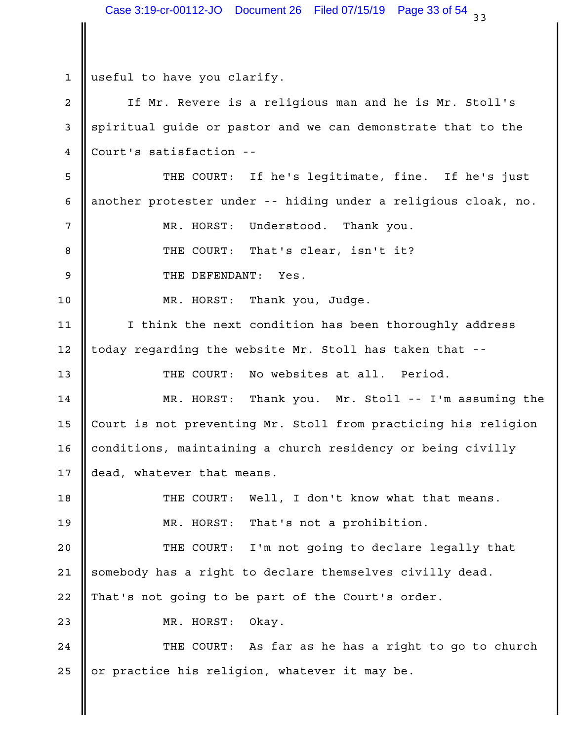1 useful to have you clarify. 2 || If Mr. Revere is a religious man and he is Mr. Stoll's | 3 Sepiritual guide or pastor and we can demonstrate that to the 4 Court's satisfaction --5 || THE COURT: If he's legitimate, fine. If he's just | 6 || another protester under -- hiding under a religious cloak, no. || MR. HORST: Understood. Thank you. 7 That's clear, isn't it? 9 SOMETHE DEFENDANT: Yes. MR. HORST: Thank you, Judge. 10 11 || I think the next condition has been thoroughly address | 12 || today regarding the website Mr. Stoll has taken that --THE COURT: No websites at all. Period. 13 14 || MR. HORST: Thank you. Mr. Stoll -- I'm assuming the | 15 Court is not preventing Mr. Stoll from practicing his religion | 16 || conditions, maintaining a church residency or being civilly and all 17  $\parallel$  dead, whatever that means. 18 || THE COURT: Well, I don't know what that means. | That's not a prohibition. I'm not going to declare legally that 21 || somebody has a right to declare themselves civilly dead. 22 || That's not going to be part of the Court's order. 23 NR. HORST: Okay. 24 || THE COURT: As far as he has a right to go to church | 25 || or practice his religion, whatever it may be. 8 **I** THE COURT: 19 || MR. HORST: 20 | THE COURT: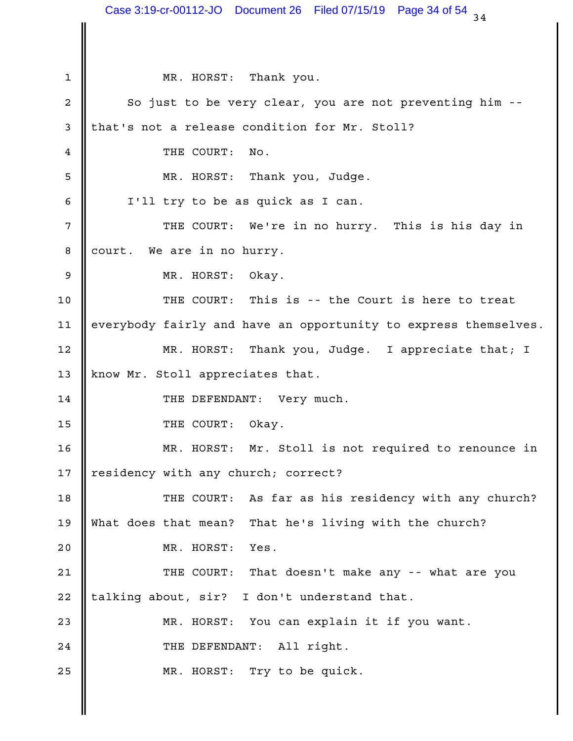$34$ 1 NR. HORST: Thank you. 2 || So just to be very clear, you are not preventing him -- | 3 || that's not a release condition for Mr. Stoll? 4 THE COURT: No. MR. HORST: Thank you, Judge. 5 6 | I'll try to be as quick as I can. THE COURT: We're in no hurry. This is his day in 7 8 court. We are in no hurry. 9 **C** MR. HORST: Okay. 10 || THE COURT: This is -- the Court is here to treat | 11 || everybody fairly and have an opportunity to express themselves. | Thank you, Judge. I appreciate that; I 13 || know Mr. Stoll appreciates that. THE DEFENDANT: Very much. 14 15 Solution of the COURT: Okay. Mr. Stoll is not required to renounce in 17 || residency with any church; correct? 18 || THE COURT: As far as his residency with any church? | What does that mean? That he's living with the church? 19 20 NR. HORST: Yes. 21 || THE COURT: That doesn't make any -- what are you | 22 || talking about, sir? I don't understand that. 23 || MR. HORST: You can explain it if you want. 24 || THE DEFENDANT: All right. 25 || MR. HORST: Try to be quick. 12 MR. HORST: 16 | MR. HORST: Case 3:19-cr-00112-JO Document 26 Filed 07/15/19 Page 34 of 54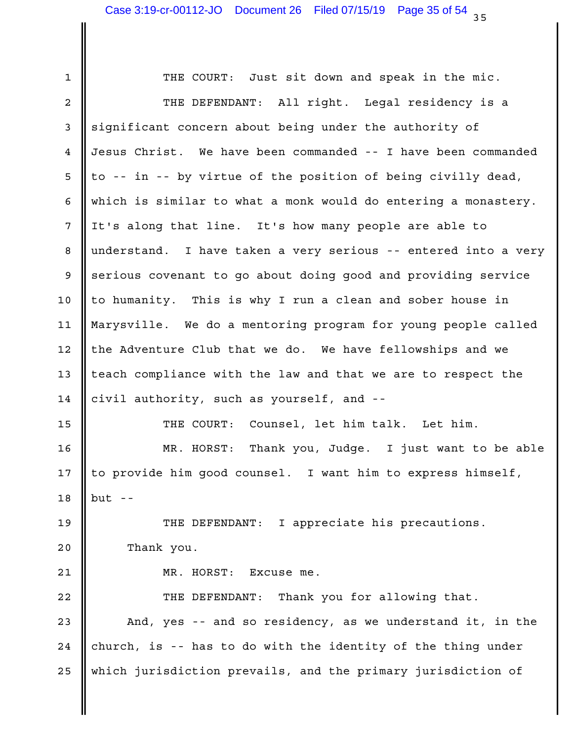1 || THE COURT: Just sit down and speak in the mic. 2 || THE DEFENDANT: All right. Legal residency is a | 3 || significant concern about being under the authority of 4 ||Jesus Christ. We have been commanded -- I have been commanded  $\frac{1}{2}$  5 || to -- in -- by virtue of the position of being civilly dead, which is similar to what a monk would do entering a monastery. 6 7 || It's along that line. It's how many people are able to 8 || understand. I have taken a very serious -- entered into a very | 9 Serious covenant to go about doing good and providing service 10 || to humanity. This is why I run a clean and sober house in Theory Marysville. We do a mentoring program for young people called 11 12 || the Adventure Club that we do. We have fellowships and we 13  $\parallel$  teach compliance with the law and that we are to respect the  $\parallel$ 14 civil authority, such as yourself, and --15 || THE COURT: Counsel, let him talk. Let him. | MR. HORST: Thank you, Judge. I just want to be able 16 17 || to provide him good counsel. I want him to express himself, Theory  $18$  || but --19 || THE DEFENDANT: I appreciate his precautions. | 20 Thank you. 21 || MR. HORST: Excuse me. 22 || THE DEFENDANT: Thank you for allowing that. | 23  $\parallel$  And, yes -- and so residency, as we understand it, in the  $\parallel$ 24 || church, is -- has to do with the identity of the thing under 25 || which jurisdiction prevails, and the primary jurisdiction of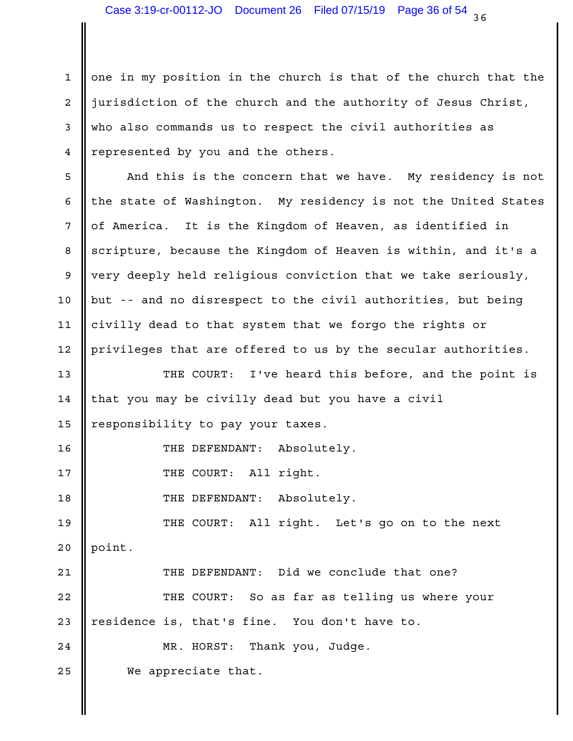$1$  one in my position in the church is that of the church that the  $\vert$ 2 || jurisdiction of the church and the authority of Jesus Christ, 3 Who also commands us to respect the civil authorities as 4 || represented by you and the others.

5 || And this is the concern that we have. My residency is not | 6  $\parallel$  the state of Washington. My residency is not the United States  $\parallel$ It is the Kingdom of Heaven, as identified in 8 Scripture, because the Kingdom of Heaven is within, and it's a 9 |very deeply held religious conviction that we take seriously,  $\qquad \qquad \mid$ 10 || but -- and no disrespect to the civil authorities, but being | 11 || civilly dead to that system that we forgo the rights or 12 || privileges that are offered to us by the secular authorities. 7 || of America.

13 || THE COURT: I've heard this before, and the point is |  $14$  | that you may be civilly dead but you have a civil 15 || responsibility to pay your taxes.

THE DEFENDANT: Absolutely. 16

17 || THE COURT: All right.

THE DEFENDANT: Absolutely. 18

19 || THE COURT: All right. Let's go on to the next | 20 point.

THE DEFENDANT: Did we conclude that one? 21 22 || THE COURT: So as far as telling us where your | 23 || residence is, that's fine. You don't have to. Thank you, Judge. 25 We appreciate that. 24 | MR. HORST: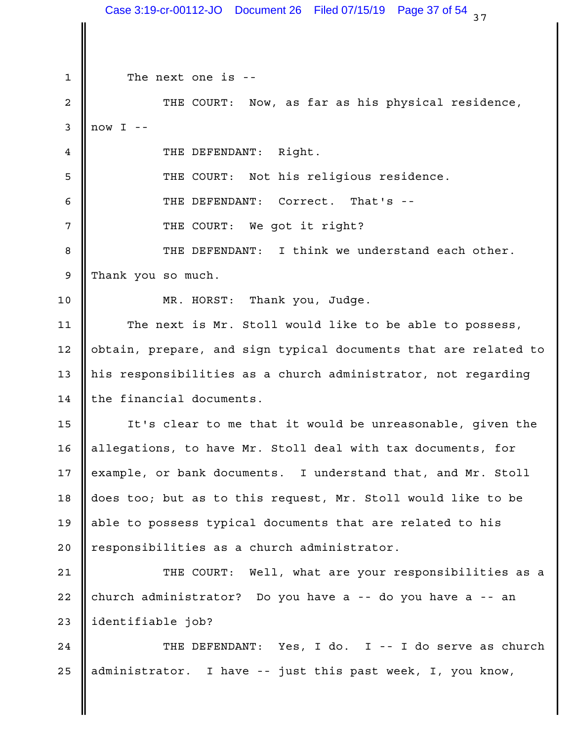$37$ 1 The next one is --2 || THE COURT: Now, as far as his physical residence, |  $3 \parallel \text{now} I \text{ --}$ 4 || THE DEFENDANT: Right. THE COURT: Not his religious residence. 5 6 G THE DEFENDANT: Correct. That's --THE COURT: We got it right? 8 || THE DEFENDANT: I think we understand each other. | Thank you so much. 9 MR. HORST: Thank you, Judge. 10 11 || The next is Mr. Stoll would like to be able to possess, | 12 || obtain, prepare, and sign typical documents that are related to | 13 || his responsibilities as a church administrator, not regarding | 14 | the financial documents.  $15$   $\parallel$  It's clear to me that it would be unreasonable, given the  $\parallel$ 16 || allegations, to have Mr. Stoll deal with tax documents, for 17  $\parallel$  example, or bank documents. I understand that, and Mr. Stoll  $\parallel$ 18 || does too; but as to this request, Mr. Stoll would like to be 19 || able to possess typical documents that are related to his 20 || responsibilities as a church administrator. 21 || THE COURT: Well, what are your responsibilities as a | 22 || church administrator? Do you have a -- do you have a -- an 23 || identifiable job? 24 || THE DEFENDANT: Yes, I do. I -- I do serve as church | 25 || administrator. I have -- just this past week, I, you know, The Mo Case 3:19-cr-00112-JO Document 26 Filed 07/15/19 Page 37 of 54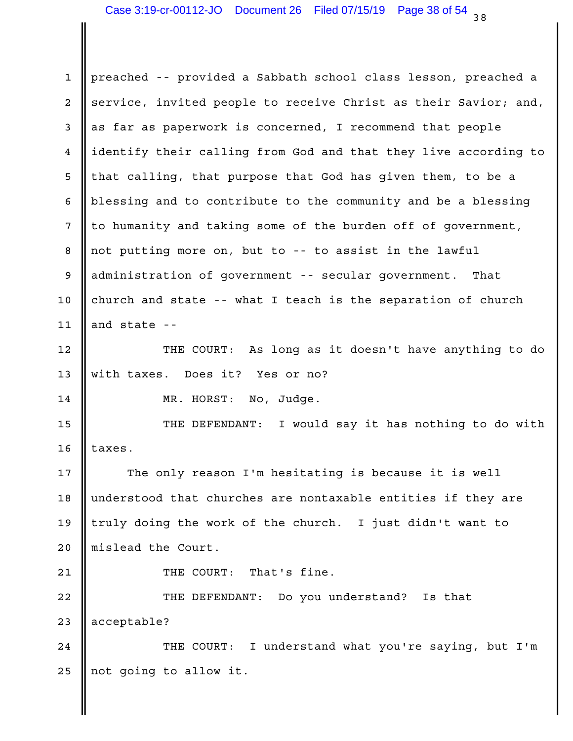1 || preached -- provided a Sabbath school class lesson, preached a 2 Service, invited people to receive Christ as their Savior; and,  $\vert$ 3 as far as paperwork is concerned, I recommend that people 4 ||identify their calling from God and that they live according to | 5 || that calling, that purpose that God has given them, to be a 6 || blessing and to contribute to the community and be a blessing | 7 || to humanity and taking some of the burden off of government, 8 || not putting more on, but to -- to assist in the lawful 9 || administration of government -- secular government. That 10 church and state -- what I teach is the separation of church 11 || and state  $-$ 12 || THE COURT: As long as it doesn't have anything to do | with taxes. Does it? Yes or no? 13 No, Judge. 15 || THE DEFENDANT: I would say it has nothing to do with |  $16$  taxes. 17  $\parallel$  The only reason I'm hesitating is because it is well  $\parallel$ 18 || understood that churches are nontaxable entities if they are 19 || truly doing the work of the church. I just didn't want to 20 || mislead the Court. That's fine. 22 || THE DEFENDANT: Do you understand? Is that 23 acceptable? 24 || THE COURT: I understand what you're saying, but I'm | 25  $\parallel$  not going to allow it. 14 NR. HORST: 21 | THE COURT: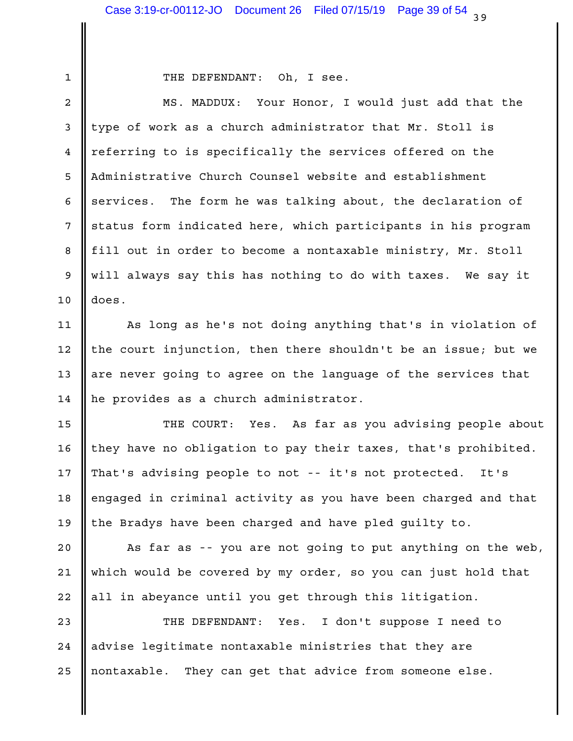| ۰. |  |
|----|--|
|    |  |
|    |  |
|    |  |
|    |  |

### THE DEFENDANT: Oh, I see. 1

2 || MS. MADDUX: Your Honor, I would just add that the |  $3$  | type of work as a church administrator that Mr. Stoll is 4 || referring to is specifically the services offered on the 5 || Administrative Church Counsel website and establishment 6  $\parallel$  services. The form he was talking about, the declaration of  $\parallel$ 7 || status form indicated here, which participants in his program 8 || fill out in order to become a nontaxable ministry, Mr. Stoll || 9 || will always say this has nothing to do with taxes. We say it does. 10

11 || As long as he's not doing anything that's in violation of | 12 || the court injunction, then there shouldn't be an issue; but we | 13  $\parallel$  are never going to agree on the language of the services that  $\parallel$ 14  $\parallel$  he provides as a church administrator.

15 || THE COURT: Yes. As far as you advising people about | 16 || they have no obligation to pay their taxes, that's prohibited. | 17 || That's advising people to not -- it's not protected. It's 18 || engaged in criminal activity as you have been charged and that | 19 || the Bradys have been charged and have pled guilty to.

20 || As far as -- you are not going to put anything on the web, | 21 || which would be covered by my order, so you can just hold that 22 || all in abeyance until you get through this litigation.

I don't suppose I need to 24 || advise legitimate nontaxable ministries that they are 25 || nontaxable. They can get that advice from someone else. 23 || THE DEFENDANT: Yes.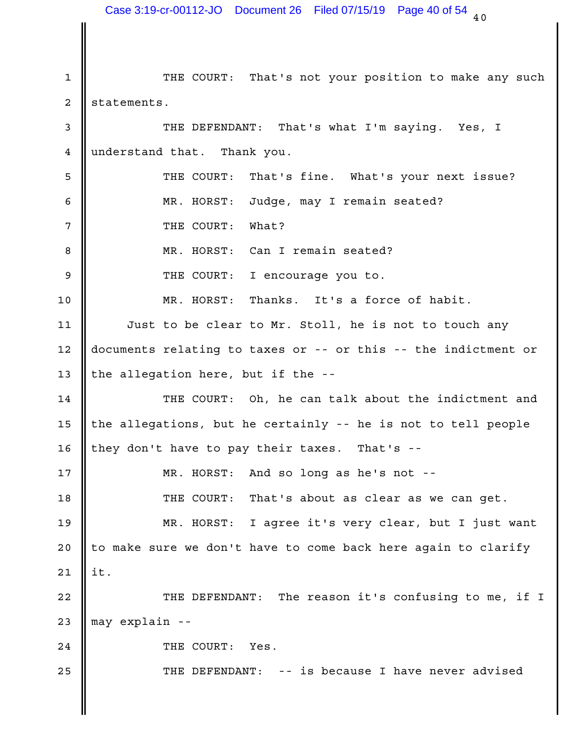$40$ 1 || THE COURT: That's not your position to make any such | 2 statements. 3 || THE DEFENDANT: That's what I'm saying. Yes, I | 4 understand that. Thank you. That's fine. What's your next issue? MR. HORST: Judge, may I remain seated? 6 THE COURT: What? MR. HORST: Can I remain seated? 8 g set of the COURT: I encourage you to. 10 || MR. HORST: Thanks. It's a force of habit. | 11 || Just to be clear to Mr. Stoll, he is not to touch any | 12  $\parallel$  documents relating to taxes or -- or this -- the indictment or  $\parallel$ 13 || the allegation here, but if the  $-$ - $\blacksquare$ 14 || THE COURT: Oh, he can talk about the indictment and | 15  $\parallel$  the allegations, but he certainly -- he is not to tell people  $\parallel$ 16 || they don't have to pay their taxes. That's --MR. HORST: And so long as he's not -- 17 18 || THE COURT: That's about as clear as we can get. MR. HORST: I agree it's very clear, but I just want 19 20  $\parallel$  to make sure we don't have to come back here again to clarify  $\parallel$ it. 22 || THE DEFENDANT: The reason it's confusing to me, if I | 23 || may explain --24 COURT: Yes. 25 || THE DEFENDANT: -- is because I have never advised 5 **I** THE COURT: 21  $\parallel$  it. Case 3:19-cr-00112-JO Document 26 Filed 07/15/19 Page 40 of 54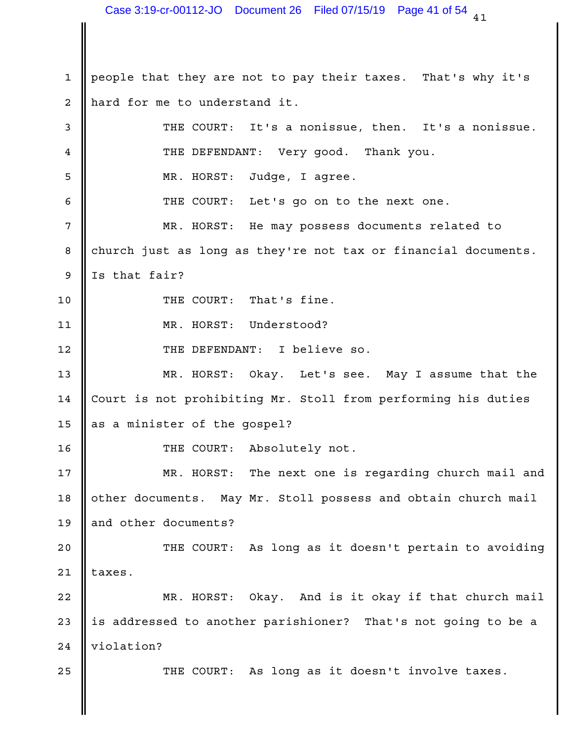1 || people that they are not to pay their taxes. That's why it's 2 || hard for me to understand it. 3 || THE COURT: It's a nonissue, then. It's a nonissue. THE DEFENDANT: Very good. Thank you. 4 Judge, I agree. THE COURT: Let's go on to the next one. 6 7 **||** MR. HORST: He may possess documents related to 8 || church just as long as they're not tax or financial documents.  $9 \parallel Is$  that fair? 10 **||** THE COURT: That's fine. 11 || MR. HORST: Understood? 12 || THE DEFENDANT: I believe so. 13 || MR. HORST: Okay. Let's see. May I assume that the | 14 | Court is not prohibiting Mr. Stoll from performing his duties 15  $\parallel$  as a minister of the gospel? THE COURT: Absolutely not. 16 17 || MR. HORST: The next one is regarding church mail and | 18 || other documents. May Mr. Stoll possess and obtain church mail | 19 and other documents? 20  $\parallel$  THE COURT: As long as it doesn't pertain to avoiding  $\parallel$ 21  $\parallel$  taxes. 22 || MR. HORST: Okay. And is it okay if that church mail | 23 || is addressed to another parishioner? That's not going to be a  $\vert$ 24 | violation? 25 || THE COURT: As long as it doesn't involve taxes. | 5 || MR. HORST: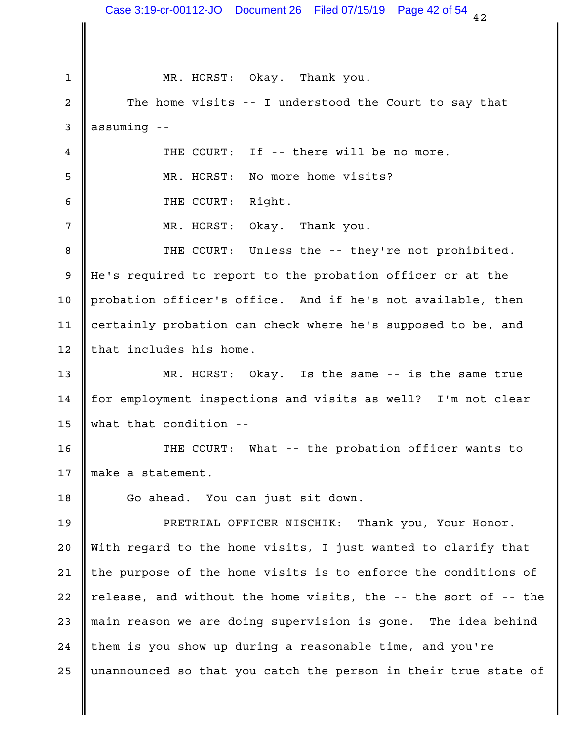$42$ 1 MR. HORST: Okay. Thank you. 2 || The home visits -- I understood the Court to say that |  $3$  assuming --If -- there will be no more. MR. HORST: No more home visits? 5 6 General Monthson COURT: Right. Okay. Thank you. Unless the -- they're not prohibited. 9 || He's required to report to the probation officer or at the 10 || probation officer's office. And if he's not available, then I 11 || certainly probation can check where he's supposed to be, and  $12$  | that includes his home. 13 || MR. HORST: Okay. Is the same -- is the same true | 14 || for employment inspections and visits as well? I'm not clear | what that condition -- 15 16 || THE COURT: What -- the probation officer wants to | 17 || make a statement. 18 || Go ahead. You can just sit down. PRETRIAL OFFICER NISCHIK: Thank you, Your Honor. 19 20 || With regard to the home visits, I just wanted to clarify that | 21  $\parallel$  the purpose of the home visits is to enforce the conditions of  $\parallel$ 22  $\parallel$  release, and without the home visits, the -- the sort of -- the  $\parallel$ 23 || main reason we are doing supervision is gone. The idea behind | 24 || them is you show up during a reasonable time, and you're 25  $\parallel$  unannounced so that you catch the person in their true state of  $\parallel$ 4 **II** THE COURT:  $7$  || MR. HORST: 8 **I** THE COURT: Case 3:19-cr-00112-JO Document 26 Filed 07/15/19 Page 42 of 54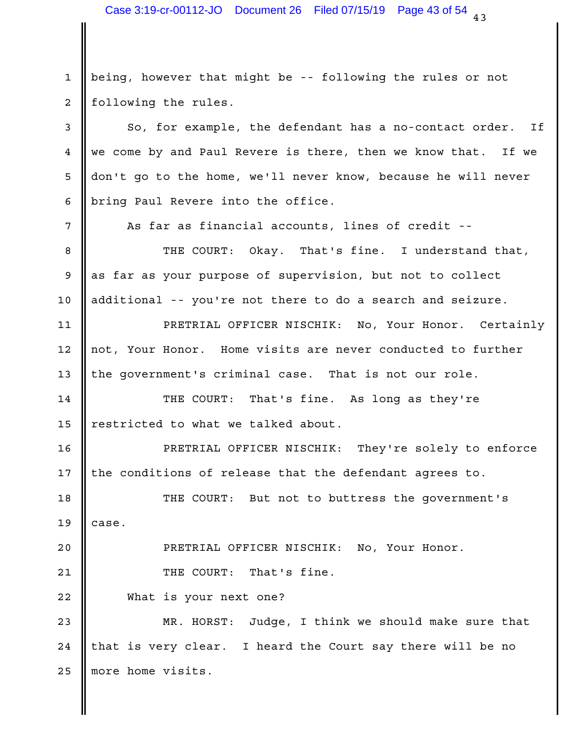1 || being, however that might be -- following the rules or not 2 | following the rules.

 $\begin{array}{|l|} \hline 3 & \multicolumn{1}{|l|}{} \ \hline \end{array}$  So, for example, the defendant has a no-contact order. If  $\begin{array}{|l|} \hline \end{array}$ 4 We come by and Paul Revere is there, then we know that. If we 5 || don't go to the home, we'll never know, because he will never | bring Paul Revere into the office. 6

7 || As far as financial accounts, lines of credit -- |

8 || THE COURT: Okay. That's fine. I understand that, | 9 as far as your purpose of supervision, but not to collect 10 || additional -- you're not there to do a search and seizure.

PRETRIAL OFFICER NISCHIK: No, Your Honor. Certainly 11 12 || not, Your Honor. Home visits are never conducted to further || 13 || the government's criminal case. That is not our role.

14 || THE COURT: That's fine. As long as they're | 15 || restricted to what we talked about.

PRETRIAL OFFICER NISCHIK: They're solely to enforce 16 17  $\parallel$  the conditions of release that the defendant agrees to.

18 || THE COURT: But not to buttress the government's  $19$  ase.

PRETRIAL OFFICER NISCHIK: No, Your Honor. 20

21 || THE COURT: That's fine.

22 What is your next one?

23 || MR. HORST: Judge, I think we should make sure that | 24 || that is very clear. I heard the Court say there will be no the l 25 || more home visits.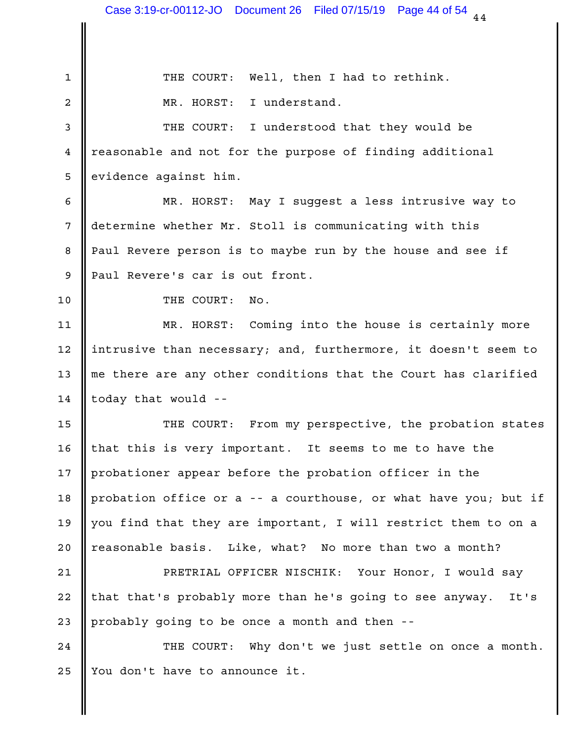THE COURT: Well, then I had to rethink. 1 2 **C** MR. HORST: I understand. 3 || THE COURT: I understood that they would be 4 || reasonable and not for the purpose of finding additional 5 evidence against him. MR. HORST: May I suggest a less intrusive way to 6 7 || determine whether Mr. Stoll is communicating with this 8 Paul Revere person is to maybe run by the house and see if 9 Paul Revere's car is out front. 10 NO. THE COURT: No. 11 || MR. HORST: Coming into the house is certainly more | 12 || intrusive than necessary; and, furthermore, it doesn't seem to  $\qquad \vert$ 13  $\parallel$  me there are any other conditions that the Court has clarified  $\parallel$  $14$  today that would --15 || THE COURT: From my perspective, the probation states | 16 || that this is very important. It seems to me to have the Theory I 17 || probationer appear before the probation officer in the 18  $\parallel$  probation office or a -- a courthouse, or what have you; but if  $\parallel$ 19  $\parallel$  you find that they are important, I will restrict them to on a  $\parallel$ 20 || reasonable basis. Like, what? No more than two a month? PRETRIAL OFFICER NISCHIK: Your Honor, I would say 21 22 || that that's probably more than he's going to see anyway. It's | 23 probably going to be once a month and then --24 || THE COURT: Why don't we just settle on once a month. | 25  $\parallel$  You don't have to announce it.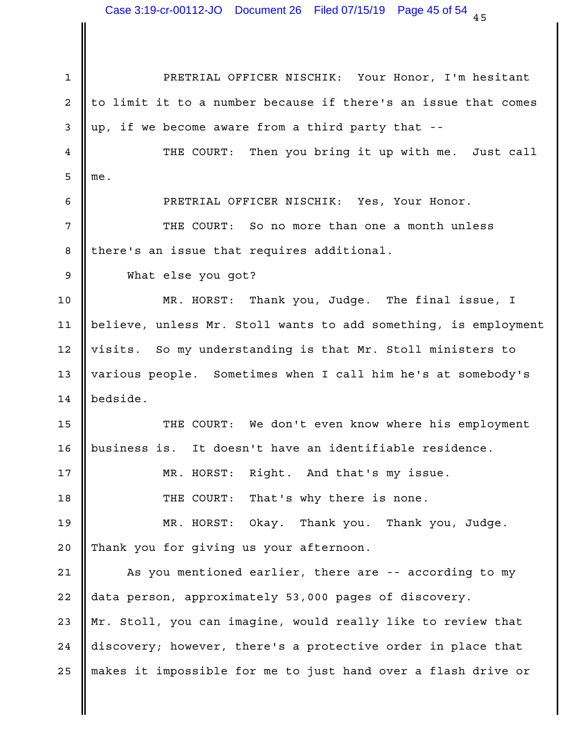PRETRIAL OFFICER NISCHIK: Your Honor, I'm hesitant 1 2 || to limit it to a number because if there's an issue that comes | 3 || up, if we become aware from a third party that --4 || THE COURT: Then you bring it up with me. Just call | me. PRETRIAL OFFICER NISCHIK: Yes, Your Honor. 6 7 || THE COURT: So no more than one a month unless | 8 || there's an issue that requires additional. What else you got? 9 MR. HORST: Thank you, Judge. The final issue, I 10 believe, unless Mr. Stoll wants to add something, is employment 11 12 || visits. So my understanding is that Mr. Stoll ministers to the loss of 13 || various people. Sometimes when I call him he's at somebody's 14 | bedside. 15 || THE COURT: We don't even know where his employment | It doesn't have an identifiable residence. MR. HORST: Right. And that's my issue. 17 THE COURT: That's why there is none. 18 Okay. Thank you. Thank you, Judge. 20 || Thank you for giving us your afternoon. 21 || As you mentioned earlier, there are -- according to my | 22 || data person, approximately 53,000 pages of discovery. 23 || Mr. Stoll, you can imagine, would really like to review that 24 || discovery; however, there's a protective order in place that 25 || makes it impossible for me to just hand over a flash drive or  $\qquad \vert$  $5 \parallel me.$ 16 | business is. 19 NR. HORST: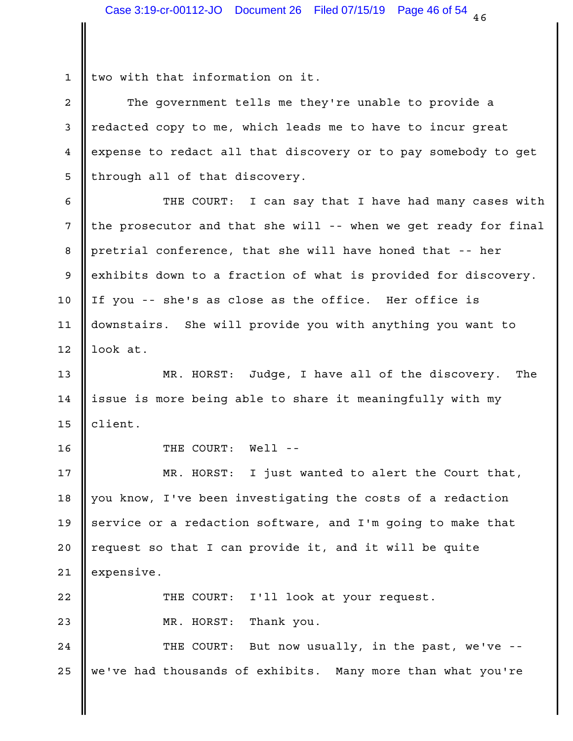$1$  | two with that information on it.

2 || The government tells me they're unable to provide a 3 || redacted copy to me, which leads me to have to incur great 4 expense to redact all that discovery or to pay somebody to get 5 || through all of that discovery.

6 || THE COURT: I can say that I have had many cases with |  $\mid$  7 || the prosecutor and that she will -- when we get ready for final | 8 || pretrial conference, that she will have honed that -- her 9 exhibits down to a fraction of what is provided for discovery.  $\vert$ 10 || If you -- she's as close as the office. Her office is 11 || downstairs. She will provide you with anything you want to the less  $12 \parallel$  look at.

13 || MR. HORST: Judge, I have all of the discovery. The | 14 ||issue is more being able to share it meaningfully with my 15 || client.

THE COURT: Well -- 16

17 || MR. HORST: I just wanted to alert the Court that, | 18 || you know, I've been investigating the costs of a redaction 19  $\parallel$  service or a redaction software, and I'm going to make that  $\parallel$ 20 || request so that I can provide it, and it will be quite 21 expensive.

I'll look at your request. Thank you. 22 THE COURT: 23 || MR. HORST:

But now usually, in the past, we've  $-$ -25 || we've had thousands of exhibits. Many more than what you're | 24 **II** THE COURT: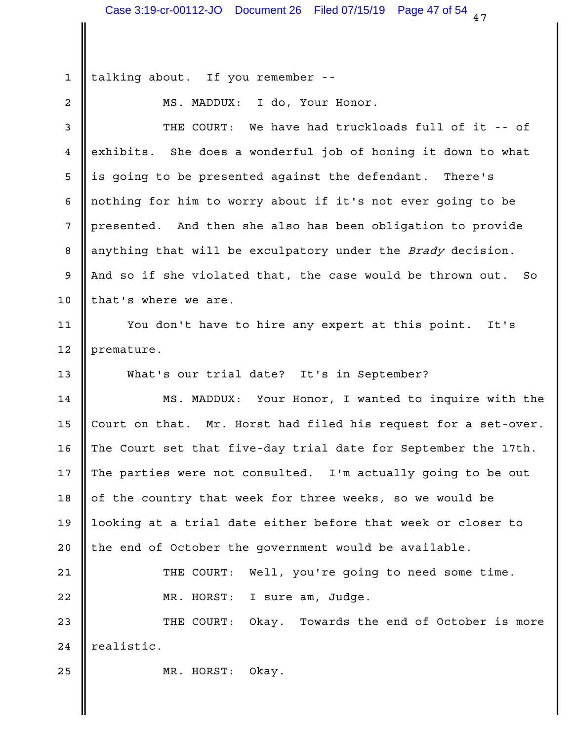1 || talking about. If you remember --

MS. MADDUX: I do, Your Honor. 2

3 || THE COURT: We have had truckloads full of it -- of 4 exhibits. She does a wonderful job of honing it down to what 5 || is going to be presented against the defendant. There's 6 || nothing for him to worry about if it's not ever going to be 7 || presented. And then she also has been obligation to provide 8 || anything that will be exculpatory under the *Brady* decision. 9 || And so if she violated that, the case would be thrown out. So ||  $10$  | that's where we are.

11 || You don't have to hire any expert at this point. It's | 12 premature.

13 What's our trial date? It's in September?

14 || MS. MADDUX: Your Honor, I wanted to inquire with the | 15 Court on that. Mr. Horst had filed his request for a set-over. | 16 The Court set that five-day trial date for September the 17th.  $\vert$ 17 The parties were not consulted. I'm actually going to be out | 18 || of the country that week for three weeks, so we would be 19 || looking at a trial date either before that week or closer to 20 || the end of October the government would be available. 21 || THE COURT: Well, you're going to need some time. | 22 || MR. HORST: I sure am, Judge. 23 **I** THE COURT:

Okay. Towards the end of October is more 24 | realistic.

25 MR. HORST: Okay.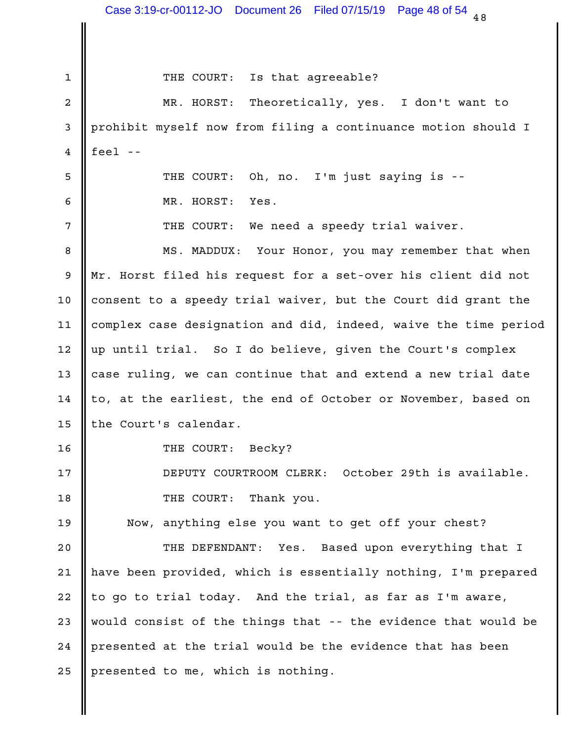$48$ Is that agreeable? MR. HORST: Theoretically, yes. I don't want to 2 3 || prohibit myself now from filing a continuance motion should I |  $4 \parallel$  feel --Oh, no. I'm just saying is --6 MR. HORST: Yes. 7 || THE COURT: We need a speedy trial waiver. 8 || MS. MADDUX: Your Honor, you may remember that when 9 || Mr. Horst filed his request for a set-over his client did not 10 || consent to a speedy trial waiver, but the Court did grant the 11 || complex case designation and did, indeed, waive the time period | 12 || up until trial. So I do believe, given the Court's complex | 13  $\parallel$  case ruling, we can continue that and extend a new trial date 14  $\parallel$  to, at the earliest, the end of October or November, based on 15 || the Court's calendar. THE COURT: Becky? 16 DEPUTY COURTROOM CLERK: October 29th is available. 17 18 **II** THE COURT: Thank you. 19 || Now, anything else you want to get off your chest? 20 || THE DEFENDANT: Yes. Based upon everything that I | 21 || have been provided, which is essentially nothing, I'm prepared | 22  $\parallel$  to go to trial today. And the trial, as far as I'm aware,  $\parallel$ 23 || would consist of the things that -- the evidence that would be 24 || presented at the trial would be the evidence that has been 25 | presented to me, which is nothing. 1 || THE COURT: 5 **I** THE COURT: Case 3:19-cr-00112-JO Document 26 Filed 07/15/19 Page 48 of 54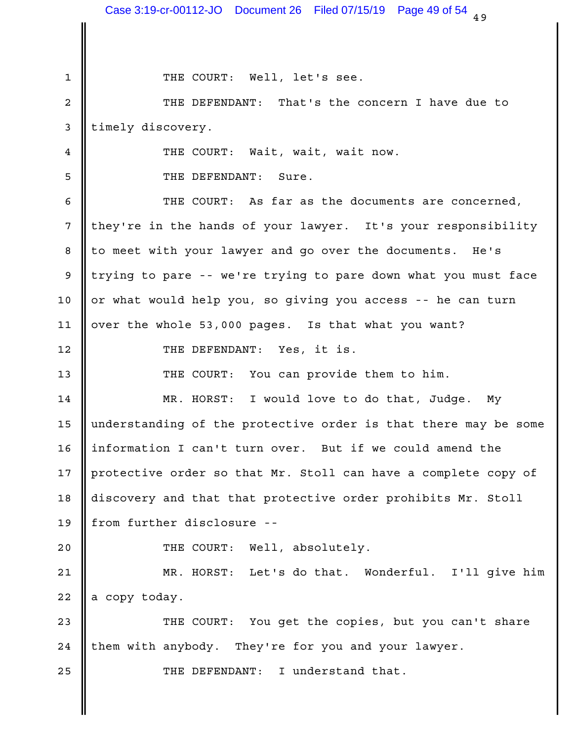1 THE COURT: Well, let's see. THE DEFENDANT: That's the concern I have due to 2 3 | timely discovery. Wait, wait, wait now. 5 S THE DEFENDANT: Sure. THE COURT: As far as the documents are concerned, 6 7 || they're in the hands of your lawyer. It's your responsibility | 8 || to meet with your lawyer and go over the documents. He's 9 || trying to pare -- we're trying to pare down what you must face | 10 || or what would help you, so giving you access -- he can turn ||  $11$  ||over the whole 53,000 pages. Is that what you want? THE DEFENDANT: Yes, it is. 12 THE COURT: You can provide them to him. 13 14 || MR. HORST: I would love to do that, Judge. My | 15 || understanding of the protective order is that there may be some | 16 || information I can't turn over. But if we could amend the 17  $\parallel$  protective order so that Mr. Stoll can have a complete copy of  $\parallel$ 18 || discovery and that that protective order prohibits Mr. Stoll || 19 || from further disclosure --20  $\parallel$  THE COURT: Well, absolutely. 21 || MR. HORST: Let's do that. Wonderful. I'll give him |  $22$  a copy today. 23 || THE COURT: You get the copies, but you can't share | 24 || them with anybody. They're for you and your lawyer. THE DEFENDANT: I understand that. 25 4 **II** THE COURT: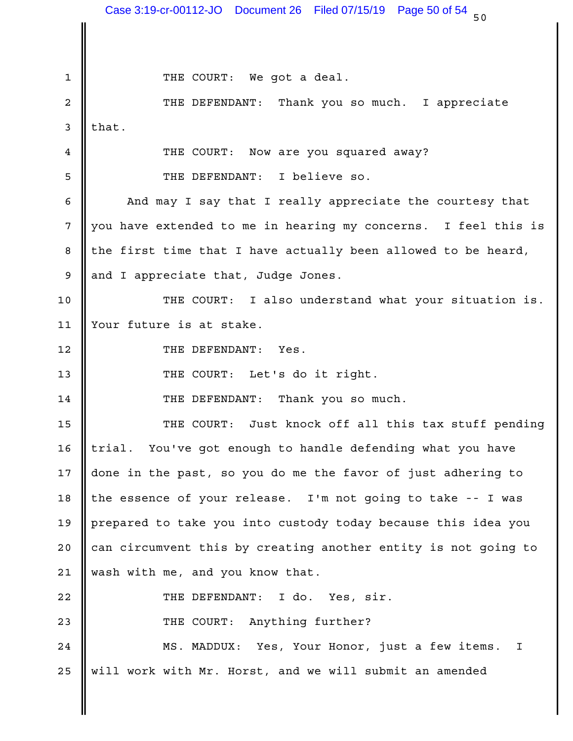$50$ 1 THE COURT: We got a deal. 2 || THE DEFENDANT: Thank you so much. I appreciate |  $3$  || that. THE COURT: Now are you squared away? 4 5 SUPER SEPS I SEPENDANT: I believe so. 6 || And may I say that I really appreciate the courtesy that | 7 || you have extended to me in hearing my concerns. I feel this is | 8 || the first time that I have actually been allowed to be heard, \[ 9 and I appreciate that, Judge Jones. 10 || THE COURT: I also understand what your situation is. | 11 || Your future is at stake. THE DEFENDANT: Yes. 12 13 || THE COURT: Let's do it right. THE DEFENDANT: Thank you so much. 14 15 || THE COURT: Just knock off all this tax stuff pending | 16 || trial. You've got enough to handle defending what you have \_\_\_\_| 17  $\parallel$  done in the past, so you do me the favor of just adhering to  $\parallel$ 18 || the essence of your release. I'm not going to take -- I was || 19 || prepared to take you into custody today because this idea you 20 || can circumvent this by creating another entity is not going to  $\qquad \vert$ 21 wash with me, and you know that. THE DEFENDANT: I do. Yes, sir. 22 23 **||** THE COURT: Anything further? 24 || MS. MADDUX: Yes, Your Honor, just a few items. I | 25 || will work with Mr. Horst, and we will submit an amended and the lost of the lost of the lost of the lost Case 3:19-cr-00112-JO Document 26 Filed 07/15/19 Page 50 of 54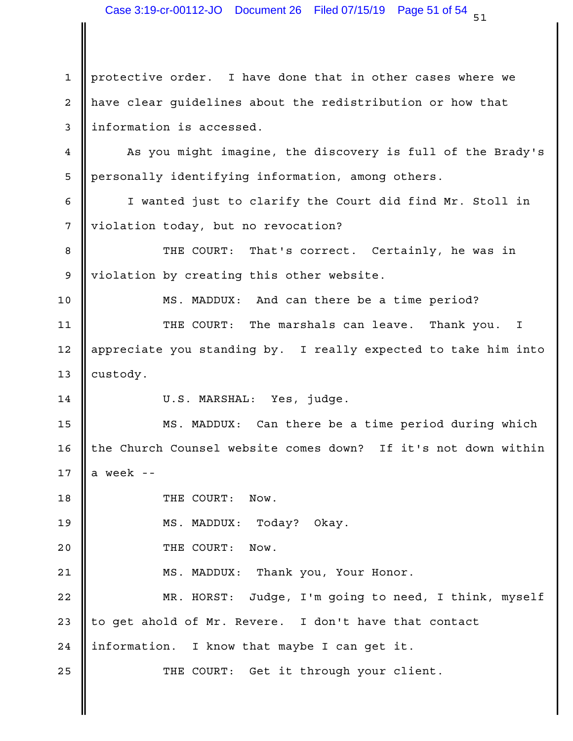1 || protective order. I have done that in other cases where we 2 || have clear guidelines about the redistribution or how that 3 information is accessed. 4 **||** As you might imagine, the discovery is full of the Brady's | 5 || personally identifying information, among others. 6 || I wanted just to clarify the Court did find Mr. Stoll in 7 || violation today, but no revocation? That's correct. Certainly, he was in 9 || violation by creating this other website. 10 || MS. MADDUX: And can there be a time period? | 11 || THE COURT: The marshals can leave. Thank you. I | 12 || appreciate you standing by. I really expected to take him into | 13 custody. 14 || U.S. MARSHAL: Yes, judge. 15 || MS. MADDUX: Can there be a time period during which | 16 || the Church Counsel website comes down? If it's not down within | 17  $\parallel$  a week --18 || THE COURT: Now. Today? Okay. 20 SOMETHE COURT: Now. 21 || MS. MADDUX: Thank you, Your Honor. 22 || MR. HORST: Judge, I'm going to need, I think, myself | 23 || to get ahold of Mr. Revere. I don't have that contact 24 || information. I know that maybe I can get it. 25 || THE COURT: Get it through your client. 8 **I** THE COURT: 19 NS. MADDUX: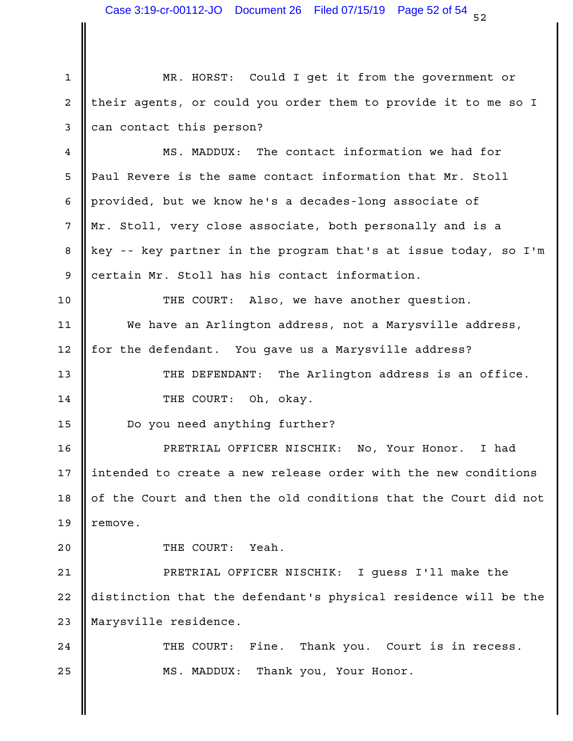1 || MR. HORST: Could I get it from the government or  $2$  | their agents, or could you order them to provide it to me so I | 3 can contact this person?

4 **||** MS. MADDUX: The contact information we had for Paul Revere is the same contact information that Mr. Stoll 5 6 || provided, but we know he's a decades-long associate of 7 || Mr. Stoll, very close associate, both personally and is a 8 Key -- key partner in the program that's at issue today, so I'm | 9 certain Mr. Stoll has his contact information.

10 || THE COURT: Also, we have another question. We have an Arlington address, not a Marysville address, 11 12 || for the defendant. You gave us a Marysville address?

13 || THE DEFENDANT: The Arlington address is an office. | 14 **I** THE COURT: Oh, okay.

15 | Do you need anything further?

PRETRIAL OFFICER NISCHIK: No, Your Honor. I had 16 17  $\parallel$  intended to create a new release order with the new conditions  $\parallel$ 18  $\parallel$  of the Court and then the old conditions that the Court did not  $\parallel$ 19 || remove.

20 SOMETHE COURT: Yeah.

PRETRIAL OFFICER NISCHIK: I guess I'll make the 21 22 || distinction that the defendant's physical residence will be the | 23 || Marysville residence.

Fine. Thank you. Court is in recess. 25 || MS. MADDUX: Thank you, Your Honor. | 24 || THE COURT: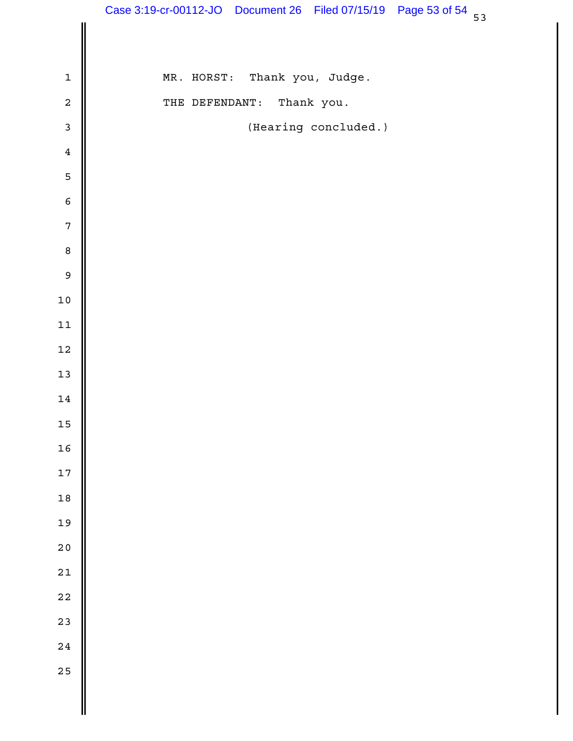|                  | Case 3:19-cr-00112-JO Document 26 Filed 07/15/19 Page 53 of 54 53 |
|------------------|-------------------------------------------------------------------|
|                  |                                                                   |
| $\mathbf 1$      | MR. HORST: Thank you, Judge.                                      |
| $\sqrt{2}$       | Thank you.<br>THE DEFENDANT:                                      |
| $\mathfrak{Z}$   | (Hearing concluded.)                                              |
| $\overline{4}$   |                                                                   |
| $\mathsf S$      |                                                                   |
| $\sqrt{6}$       |                                                                   |
| $\boldsymbol{7}$ |                                                                   |
| $\, 8$           |                                                                   |
| $\mathsf 9$      |                                                                   |
| $10$             |                                                                   |
| $11\,$           |                                                                   |
| $12\,$           |                                                                   |
| $13$             |                                                                   |
| $14\,$           |                                                                   |
| $15\,$           |                                                                   |
| 16               |                                                                   |
| 17               |                                                                   |
| $18$             |                                                                   |
| 19               |                                                                   |
| $2\,0$           |                                                                   |
| $2\sqrt{1}$      |                                                                   |
| $22$             |                                                                   |
| 23               |                                                                   |
| $2\sqrt{4}$      |                                                                   |
| 25               |                                                                   |
|                  |                                                                   |
|                  |                                                                   |